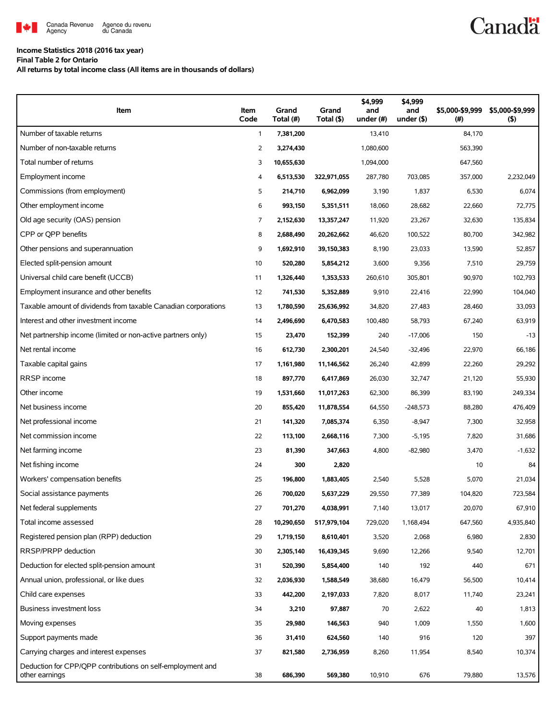

## **Income Statistics 2018 (2016 tax year)**

**Final Table 2 for Ontario**

**All returns by total income class (All items are in thousands of dollars)**

| Item                                                                         | Item<br>Code   | Grand<br>Total (#) | Grand<br>Total (\$) | \$4,999<br>and<br>under (#) | \$4.999<br>and<br>under $($ \$) | \$5.000-\$9.999<br>(# ) | \$5,000-\$9,999<br>(5) |
|------------------------------------------------------------------------------|----------------|--------------------|---------------------|-----------------------------|---------------------------------|-------------------------|------------------------|
| Number of taxable returns                                                    | $\mathbf{1}$   | 7,381,200          |                     | 13,410                      |                                 | 84,170                  |                        |
| Number of non-taxable returns                                                | $\overline{2}$ | 3,274,430          |                     | 1,080,600                   |                                 | 563,390                 |                        |
| Total number of returns                                                      | 3              | 10,655,630         |                     | 1,094,000                   |                                 | 647,560                 |                        |
| Employment income                                                            | 4              | 6,513,530          | 322,971,055         | 287,780                     | 703,085                         | 357,000                 | 2,232,049              |
| Commissions (from employment)                                                | 5              | 214,710            | 6,962,099           | 3,190                       | 1,837                           | 6,530                   | 6,074                  |
| Other employment income                                                      | 6              | 993,150            | 5,351,511           | 18,060                      | 28,682                          | 22,660                  | 72,775                 |
| Old age security (OAS) pension                                               | 7              | 2,152,630          | 13,357,247          | 11,920                      | 23,267                          | 32,630                  | 135,834                |
| CPP or OPP benefits                                                          | 8              | 2,688,490          | 20,262,662          | 46,620                      | 100,522                         | 80,700                  | 342,982                |
| Other pensions and superannuation                                            | 9              | 1,692,910          | 39,150,383          | 8,190                       | 23,033                          | 13,590                  | 52,857                 |
| Elected split-pension amount                                                 | 10             | 520,280            | 5,854,212           | 3,600                       | 9,356                           | 7,510                   | 29,759                 |
| Universal child care benefit (UCCB)                                          | 11             | 1,326,440          | 1,353,533           | 260,610                     | 305,801                         | 90,970                  | 102,793                |
| Employment insurance and other benefits                                      | 12             | 741,530            | 5,352,889           | 9,910                       | 22,416                          | 22,990                  | 104,040                |
| Taxable amount of dividends from taxable Canadian corporations               | 13             | 1,780,590          | 25,636,992          | 34,820                      | 27,483                          | 28,460                  | 33,093                 |
| Interest and other investment income                                         | 14             | 2,496,690          | 6,470,583           | 100,480                     | 58,793                          | 67,240                  | 63,919                 |
| Net partnership income (limited or non-active partners only)                 | 15             | 23,470             | 152,399             | 240                         | $-17,006$                       | 150                     | $-13$                  |
| Net rental income                                                            | 16             | 612,730            | 2,300,201           | 24,540                      | $-32,496$                       | 22,970                  | 66,186                 |
| Taxable capital gains                                                        | 17             | 1,161,980          | 11,146,562          | 26,240                      | 42,899                          | 22,260                  | 29,292                 |
| RRSP income                                                                  | 18             | 897,770            | 6,417,869           | 26,030                      | 32,747                          | 21,120                  | 55,930                 |
| Other income                                                                 | 19             | 1,531,660          | 11,017,263          | 62,300                      | 86,399                          | 83,190                  | 249,334                |
| Net business income                                                          | 20             | 855,420            | 11,878,554          | 64,550                      | $-248,573$                      | 88,280                  | 476,409                |
| Net professional income                                                      | 21             | 141,320            | 7,085,374           | 6,350                       | $-8,947$                        | 7,300                   | 32,958                 |
| Net commission income                                                        | 22             | 113,100            | 2,668,116           | 7,300                       | $-5,195$                        | 7,820                   | 31,686                 |
| Net farming income                                                           | 23             | 81,390             | 347,663             | 4,800                       | $-82,980$                       | 3,470                   | $-1,632$               |
| Net fishing income                                                           | 24             | 300                | 2,820               |                             |                                 | 10                      | 84                     |
| Workers' compensation benefits                                               | 25             | 196,800            | 1,883,405           | 2,540                       | 5,528                           | 5,070                   | 21,034                 |
| Social assistance payments                                                   | 26             | 700,020            | 5,637,229           | 29,550                      | 77,389                          | 104,820                 | 723,584                |
| Net federal supplements                                                      | 27             | 701,270            | 4,038,991           | 7,140                       | 13,017                          | 20,070                  | 67,910                 |
| Total income assessed                                                        | 28             | 10,290,650         | 517,979,104         | 729,020                     | 1,168,494                       | 647,560                 | 4,935,840              |
| Registered pension plan (RPP) deduction                                      | 29             | 1,719,150          | 8,610,401           | 3,520                       | 2,068                           | 6,980                   | 2,830                  |
| RRSP/PRPP deduction                                                          | 30             | 2,305,140          | 16,439,345          | 9,690                       | 12,266                          | 9,540                   | 12,701                 |
| Deduction for elected split-pension amount                                   | 31             | 520,390            | 5,854,400           | 140                         | 192                             | 440                     | 671                    |
| Annual union, professional, or like dues                                     | 32             | 2,036,930          | 1,588,549           | 38,680                      | 16,479                          | 56,500                  | 10,414                 |
| Child care expenses                                                          | 33             | 442,200            | 2,197,033           | 7,820                       | 8,017                           | 11,740                  | 23,241                 |
| Business investment loss                                                     | 34             | 3,210              | 97,887              | 70                          | 2,622                           | 40                      | 1,813                  |
| Moving expenses                                                              | 35             | 29,980             | 146,563             | 940                         | 1,009                           | 1,550                   | 1,600                  |
| Support payments made                                                        | 36             | 31,410             | 624,560             | 140                         | 916                             | 120                     | 397                    |
| Carrying charges and interest expenses                                       | 37             | 821,580            | 2,736,959           | 8,260                       | 11,954                          | 8,540                   | 10,374                 |
| Deduction for CPP/QPP contributions on self-employment and<br>other earnings | 38             | 686,390            | 569,380             | 10,910                      | 676                             | 79,880                  | 13,576                 |

**Canadä**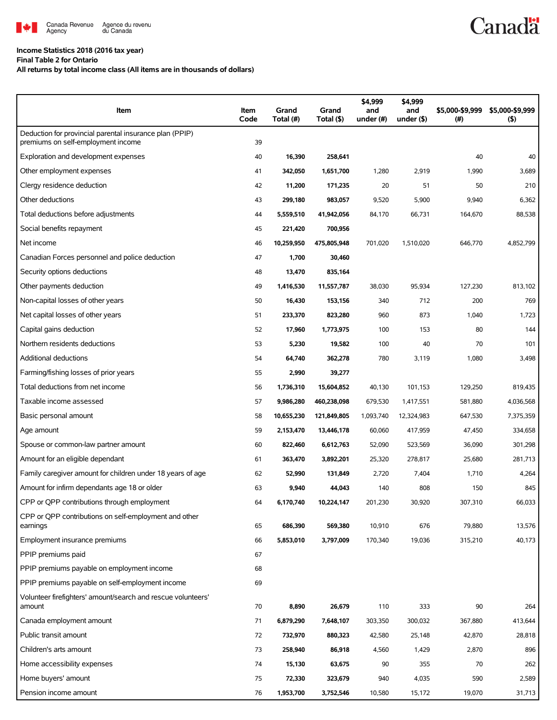

## **Income Statistics 2018 (2016 tax year)**

**Final Table 2 for Ontario**

**All returns by total income class (All items are in thousands of dollars)**

| Item                                                                                          | Item<br>Code | Grand<br>Total (#) | Grand<br>Total (\$) | \$4,999<br>and<br>under (#) | \$4,999<br>and<br>under (\$) | \$5,000-\$9,999<br>(# ) | \$5,000-\$9,999<br>$($ \$) |
|-----------------------------------------------------------------------------------------------|--------------|--------------------|---------------------|-----------------------------|------------------------------|-------------------------|----------------------------|
| Deduction for provincial parental insurance plan (PPIP)<br>premiums on self-employment income | 39           |                    |                     |                             |                              |                         |                            |
| Exploration and development expenses                                                          | 40           | 16,390             | 258,641             |                             |                              | 40                      | 40                         |
| Other employment expenses                                                                     | 41           | 342,050            | 1,651,700           | 1,280                       | 2,919                        | 1,990                   | 3,689                      |
| Clergy residence deduction                                                                    | 42           | 11,200             | 171,235             | 20                          | 51                           | 50                      | 210                        |
| Other deductions                                                                              | 43           | 299,180            | 983,057             | 9,520                       | 5,900                        | 9,940                   | 6,362                      |
| Total deductions before adjustments                                                           | 44           | 5,559,510          | 41,942,056          | 84,170                      | 66,731                       | 164,670                 | 88,538                     |
| Social benefits repayment                                                                     | 45           | 221,420            | 700,956             |                             |                              |                         |                            |
| Net income                                                                                    | 46           | 10,259,950         | 475,805,948         | 701,020                     | 1,510,020                    | 646,770                 | 4,852,799                  |
| Canadian Forces personnel and police deduction                                                | 47           | 1,700              | 30,460              |                             |                              |                         |                            |
| Security options deductions                                                                   | 48           | 13,470             | 835,164             |                             |                              |                         |                            |
| Other payments deduction                                                                      | 49           | 1,416,530          | 11,557,787          | 38,030                      | 95,934                       | 127,230                 | 813,102                    |
| Non-capital losses of other years                                                             | 50           | 16,430             | 153,156             | 340                         | 712                          | 200                     | 769                        |
| Net capital losses of other years                                                             | 51           | 233,370            | 823,280             | 960                         | 873                          | 1,040                   | 1,723                      |
| Capital gains deduction                                                                       | 52           | 17,960             | 1,773,975           | 100                         | 153                          | 80                      | 144                        |
| Northern residents deductions                                                                 | 53           | 5,230              | 19,582              | 100                         | 40                           | 70                      | 101                        |
| <b>Additional deductions</b>                                                                  | 54           | 64,740             | 362,278             | 780                         | 3,119                        | 1,080                   | 3,498                      |
| Farming/fishing losses of prior years                                                         | 55           | 2,990              | 39,277              |                             |                              |                         |                            |
| Total deductions from net income                                                              | 56           | 1,736,310          | 15,604,852          | 40,130                      | 101,153                      | 129,250                 | 819,435                    |
| Taxable income assessed                                                                       | 57           | 9,986,280          | 460,238,098         | 679,530                     | 1,417,551                    | 581,880                 | 4,036,568                  |
| Basic personal amount                                                                         | 58           | 10,655,230         | 121,849,805         | 1,093,740                   | 12,324,983                   | 647,530                 | 7,375,359                  |
| Age amount                                                                                    | 59           | 2,153,470          | 13,446,178          | 60,060                      | 417,959                      | 47,450                  | 334,658                    |
| Spouse or common-law partner amount                                                           | 60           | 822,460            | 6,612,763           | 52,090                      | 523,569                      | 36,090                  | 301,298                    |
| Amount for an eligible dependant                                                              | 61           | 363,470            | 3,892,201           | 25,320                      | 278,817                      | 25,680                  | 281,713                    |
| Family caregiver amount for children under 18 years of age                                    | 62           | 52,990             | 131,849             | 2,720                       | 7,404                        | 1,710                   | 4,264                      |
| Amount for infirm dependants age 18 or older                                                  | 63           | 9,940              | 44,043              | 140                         | 808                          | 150                     | 845                        |
| CPP or QPP contributions through employment                                                   | 64           | 6,170,740          | 10,224,147          | 201,230                     | 30,920                       | 307,310                 | 66,033                     |
| CPP or QPP contributions on self-employment and other<br>earnings                             | 65           | 686,390            | 569,380             | 10,910                      | 676                          | 79,880                  | 13,576                     |
| Employment insurance premiums                                                                 | 66           | 5,853,010          | 3,797,009           | 170,340                     | 19,036                       | 315,210                 | 40,173                     |
| PPIP premiums paid                                                                            | 67           |                    |                     |                             |                              |                         |                            |
| PPIP premiums payable on employment income                                                    | 68           |                    |                     |                             |                              |                         |                            |
| PPIP premiums payable on self-employment income                                               | 69           |                    |                     |                             |                              |                         |                            |
| Volunteer firefighters' amount/search and rescue volunteers'                                  |              |                    |                     |                             |                              |                         |                            |
| amount                                                                                        | 70           | 8,890              | 26,679              | 110                         | 333                          | 90                      | 264                        |
| Canada employment amount                                                                      | 71           | 6,879,290          | 7,648,107           | 303,350                     | 300,032                      | 367,880                 | 413,644                    |
| Public transit amount                                                                         | 72           | 732,970            | 880,323             | 42,580                      | 25,148                       | 42,870                  | 28,818                     |
| Children's arts amount                                                                        | 73           | 258,940            | 86,918              | 4,560                       | 1,429                        | 2,870                   | 896                        |
| Home accessibility expenses                                                                   | 74           | 15,130             | 63,675              | 90                          | 355                          | 70                      | 262                        |
| Home buyers' amount                                                                           | 75           | 72,330             | 323,679             | 940                         | 4,035                        | 590                     | 2,589                      |
| Pension income amount                                                                         | 76           | 1,953,700          | 3,752,546           | 10,580                      | 15,172                       | 19,070                  | 31,713                     |

**Canadä**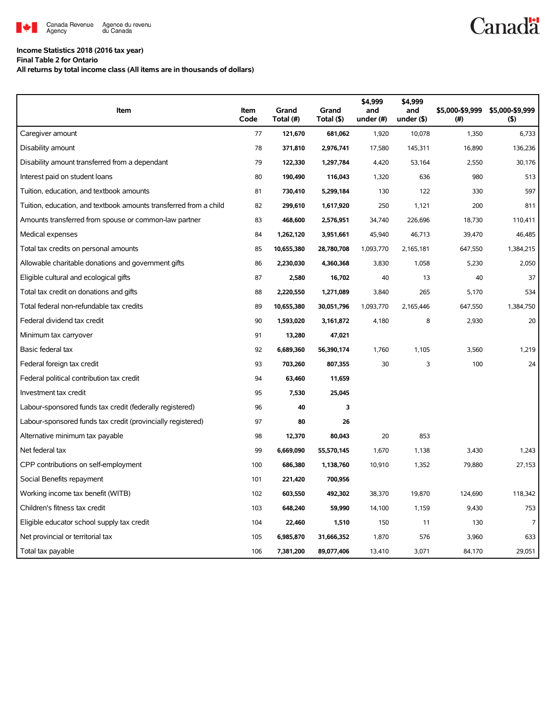

## **Income Statistics 2018 (2016 tax year)**

**Final Table 2 for Ontario**

**All returns by total income class (All items are in thousands of dollars)**

| Item                                                              | Item<br>Code | Grand<br>Total (#) | Grand<br>Total (\$) | \$4,999<br>and<br>under (#) | \$4,999<br>and<br>under $($ \$) | \$5,000-\$9,999<br>(# ) | \$5,000-\$9,999<br>(5) |
|-------------------------------------------------------------------|--------------|--------------------|---------------------|-----------------------------|---------------------------------|-------------------------|------------------------|
| Caregiver amount                                                  | 77           | 121,670            | 681,062             | 1,920                       | 10,078                          | 1,350                   | 6,733                  |
| Disability amount                                                 | 78           | 371,810            | 2,976,741           | 17,580                      | 145,311                         | 16,890                  | 136,236                |
| Disability amount transferred from a dependant                    | 79           | 122,330            | 1,297,784           | 4,420                       | 53,164                          | 2,550                   | 30,176                 |
| Interest paid on student loans                                    | 80           | 190,490            | 116,043             | 1,320                       | 636                             | 980                     | 513                    |
| Tuition, education, and textbook amounts                          | 81           | 730,410            | 5,299,184           | 130                         | 122                             | 330                     | 597                    |
| Tuition, education, and textbook amounts transferred from a child | 82           | 299,610            | 1,617,920           | 250                         | 1,121                           | 200                     | 811                    |
| Amounts transferred from spouse or common-law partner             | 83           | 468,600            | 2,576,951           | 34,740                      | 226,696                         | 18,730                  | 110,411                |
| Medical expenses                                                  | 84           | 1,262,120          | 3,951,661           | 45,940                      | 46,713                          | 39,470                  | 46,485                 |
| Total tax credits on personal amounts                             | 85           | 10,655,380         | 28,780,708          | 1,093,770                   | 2,165,181                       | 647,550                 | 1,384,215              |
| Allowable charitable donations and government gifts               | 86           | 2,230,030          | 4,360,368           | 3,830                       | 1,058                           | 5,230                   | 2,050                  |
| Eligible cultural and ecological gifts                            | 87           | 2,580              | 16,702              | 40                          | 13                              | 40                      | 37                     |
| Total tax credit on donations and gifts                           | 88           | 2,220,550          | 1,271,089           | 3,840                       | 265                             | 5,170                   | 534                    |
| Total federal non-refundable tax credits                          | 89           | 10,655,380         | 30,051,796          | 1,093,770                   | 2,165,446                       | 647,550                 | 1,384,750              |
| Federal dividend tax credit                                       | 90           | 1,593,020          | 3,161,872           | 4,180                       | 8                               | 2,930                   | 20                     |
| Minimum tax carryover                                             | 91           | 13,280             | 47,021              |                             |                                 |                         |                        |
| Basic federal tax                                                 | 92           | 6,689,360          | 56,390,174          | 1,760                       | 1.105                           | 3.560                   | 1.219                  |
| Federal foreign tax credit                                        | 93           | 703,260            | 807,355             | 30                          | 3                               | 100                     | 24                     |
| Federal political contribution tax credit                         | 94           | 63,460             | 11,659              |                             |                                 |                         |                        |
| Investment tax credit                                             | 95           | 7,530              | 25,045              |                             |                                 |                         |                        |
| Labour-sponsored funds tax credit (federally registered)          | 96           | 40                 | 3                   |                             |                                 |                         |                        |
| Labour-sponsored funds tax credit (provincially registered)       | 97           | 80                 | 26                  |                             |                                 |                         |                        |
| Alternative minimum tax payable                                   | 98           | 12,370             | 80,043              | 20                          | 853                             |                         |                        |
| Net federal tax                                                   | 99           | 6,669,090          | 55,570,145          | 1,670                       | 1,138                           | 3,430                   | 1,243                  |
| CPP contributions on self-employment                              | 100          | 686,380            | 1,138,760           | 10,910                      | 1,352                           | 79,880                  | 27,153                 |
| Social Benefits repayment                                         | 101          | 221,420            | 700,956             |                             |                                 |                         |                        |
| Working income tax benefit (WITB)                                 | 102          | 603,550            | 492,302             | 38,370                      | 19,870                          | 124,690                 | 118,342                |
| Children's fitness tax credit                                     | 103          | 648,240            | 59,990              | 14,100                      | 1,159                           | 9,430                   | 753                    |
| Eligible educator school supply tax credit                        | 104          | 22,460             | 1,510               | 150                         | 11                              | 130                     | $\overline{7}$         |
| Net provincial or territorial tax                                 | 105          | 6,985,870          | 31,666,352          | 1,870                       | 576                             | 3,960                   | 633                    |
| Total tax payable                                                 | 106          | 7,381,200          | 89,077,406          | 13,410                      | 3,071                           | 84,170                  | 29,051                 |

## **Canadä**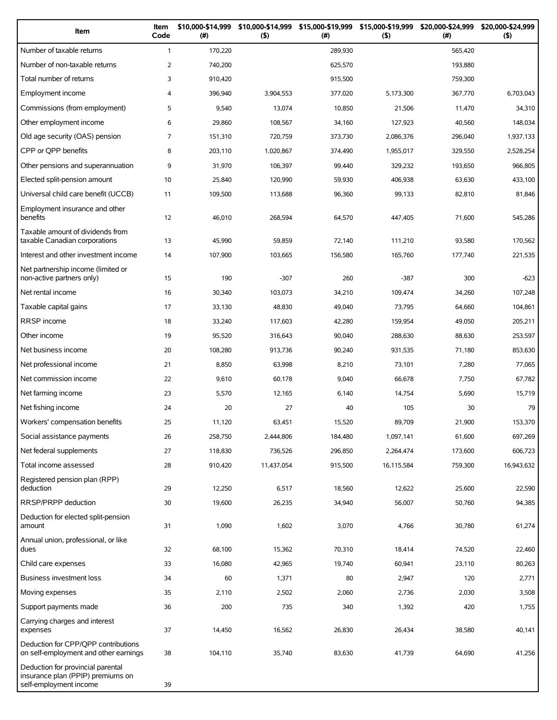| Item                                                                                             | Item<br>Code   | \$10,000-\$14,999<br>(# ) | \$10,000-\$14,999<br>(5) | \$15,000-\$19,999<br>(# ) | \$15,000-\$19,999<br>(5) | \$20,000-\$24,999<br>(#) | \$20,000-\$24,999<br>(5) |
|--------------------------------------------------------------------------------------------------|----------------|---------------------------|--------------------------|---------------------------|--------------------------|--------------------------|--------------------------|
| Number of taxable returns                                                                        | $\mathbf{1}$   | 170,220                   |                          | 289,930                   |                          | 565,420                  |                          |
| Number of non-taxable returns                                                                    | 2              | 740,200                   |                          | 625,570                   |                          | 193,880                  |                          |
| Total number of returns                                                                          | 3              | 910,420                   |                          | 915,500                   |                          | 759,300                  |                          |
| Employment income                                                                                | 4              | 396,940                   | 3,904,553                | 377,020                   | 5,173,300                | 367,770                  | 6,703,043                |
| Commissions (from employment)                                                                    | 5              | 9,540                     | 13,074                   | 10,850                    | 21,506                   | 11,470                   | 34,310                   |
| Other employment income                                                                          | 6              | 29,860                    | 108,567                  | 34,160                    | 127,923                  | 40,560                   | 148,034                  |
| Old age security (OAS) pension                                                                   | $\overline{7}$ | 151,310                   | 720,759                  | 373,730                   | 2,086,376                | 296,040                  | 1,937,133                |
| CPP or QPP benefits                                                                              | 8              | 203,110                   | 1,020,867                | 374,490                   | 1,955,017                | 329,550                  | 2,528,254                |
| Other pensions and superannuation                                                                | 9              | 31,970                    | 106,397                  | 99,440                    | 329,232                  | 193,650                  | 966,805                  |
| Elected split-pension amount                                                                     | 10             | 25,840                    | 120,990                  | 59,930                    | 406,938                  | 63,630                   | 433,100                  |
| Universal child care benefit (UCCB)                                                              | 11             | 109,500                   | 113,688                  | 96,360                    | 99,133                   | 82,810                   | 81,846                   |
| Employment insurance and other<br>benefits                                                       | 12             | 46,010                    | 268,594                  | 64,570                    | 447,405                  | 71,600                   | 545,286                  |
| Taxable amount of dividends from<br>taxable Canadian corporations                                | 13             | 45,990                    | 59,859                   | 72,140                    | 111,210                  | 93,580                   | 170,562                  |
| Interest and other investment income                                                             | 14             | 107,900                   | 103,665                  | 156,580                   | 165,760                  | 177,740                  | 221,535                  |
| Net partnership income (limited or<br>non-active partners only)                                  | 15             | 190                       | $-307$                   | 260                       | $-387$                   | 300                      | $-623$                   |
| Net rental income                                                                                | 16             | 30,340                    | 103,073                  | 34,210                    | 109,474                  | 34,260                   | 107,248                  |
| Taxable capital gains                                                                            | 17             | 33,130                    | 48,830                   | 49,040                    | 73,795                   | 64,660                   | 104,861                  |
| <b>RRSP</b> income                                                                               | 18             | 33,240                    | 117,603                  | 42,280                    | 159,954                  | 49,050                   | 205,211                  |
| Other income                                                                                     | 19             | 95,520                    | 316,643                  | 90,040                    | 288,630                  | 88,630                   | 253,597                  |
| Net business income                                                                              | 20             | 108,280                   | 913,736                  | 90,240                    | 931,535                  | 71,180                   | 853,630                  |
| Net professional income                                                                          | 21             | 8,850                     | 63,998                   | 8,210                     | 73,101                   | 7,280                    | 77,065                   |
| Net commission income                                                                            | 22             | 9,610                     | 60,178                   | 9,040                     | 66,678                   | 7,750                    | 67,782                   |
| Net farming income                                                                               | 23             | 5,570                     | 12,165                   | 6,140                     | 14,754                   | 5,690                    | 15,719                   |
| Net fishing income                                                                               | 24             | 20                        | 27                       | 40                        | 105                      | 30                       | 79                       |
| Workers' compensation benefits                                                                   | 25             | 11,120                    | 63,451                   | 15,520                    | 89,709                   | 21,900                   | 153,370                  |
| Social assistance payments                                                                       | 26             | 258,750                   | 2,444,806                | 184,480                   | 1,097,141                | 61,600                   | 697,269                  |
| Net federal supplements                                                                          | 27             | 118,830                   | 736,526                  | 296,850                   | 2,264,474                | 173,600                  | 606,723                  |
| Total income assessed                                                                            | 28             | 910,420                   | 11,437,054               | 915,500                   | 16,115,584               | 759,300                  | 16,943,632               |
| Registered pension plan (RPP)<br>deduction                                                       | 29             | 12,250                    | 6,517                    | 18,560                    | 12,622                   | 25,600                   | 22,590                   |
| RRSP/PRPP deduction                                                                              | 30             | 19,600                    | 26,235                   | 34,940                    | 56,007                   | 50,760                   | 94,385                   |
| Deduction for elected split-pension<br>amount                                                    | 31             | 1,090                     | 1,602                    | 3,070                     | 4,766                    | 30,780                   | 61,274                   |
| Annual union, professional, or like<br>dues                                                      | 32             | 68,100                    | 15,362                   | 70,310                    | 18,414                   | 74,520                   | 22,460                   |
| Child care expenses                                                                              | 33             | 16,080                    | 42,965                   | 19,740                    | 60,941                   | 23,110                   | 80,263                   |
| Business investment loss                                                                         | 34             | 60                        | 1,371                    | 80                        | 2,947                    | 120                      | 2,771                    |
| Moving expenses                                                                                  | 35             | 2,110                     | 2,502                    | 2,060                     | 2,736                    | 2,030                    | 3,508                    |
| Support payments made                                                                            | 36             | 200                       | 735                      | 340                       | 1,392                    | 420                      | 1,755                    |
| Carrying charges and interest<br>expenses                                                        | 37             | 14,450                    | 16,562                   | 26,830                    | 26,434                   | 38,580                   | 40,141                   |
| Deduction for CPP/QPP contributions<br>on self-employment and other earnings                     | 38             | 104,110                   | 35,740                   | 83,630                    | 41,739                   | 64,690                   | 41,256                   |
| Deduction for provincial parental<br>insurance plan (PPIP) premiums on<br>self-employment income | 39             |                           |                          |                           |                          |                          |                          |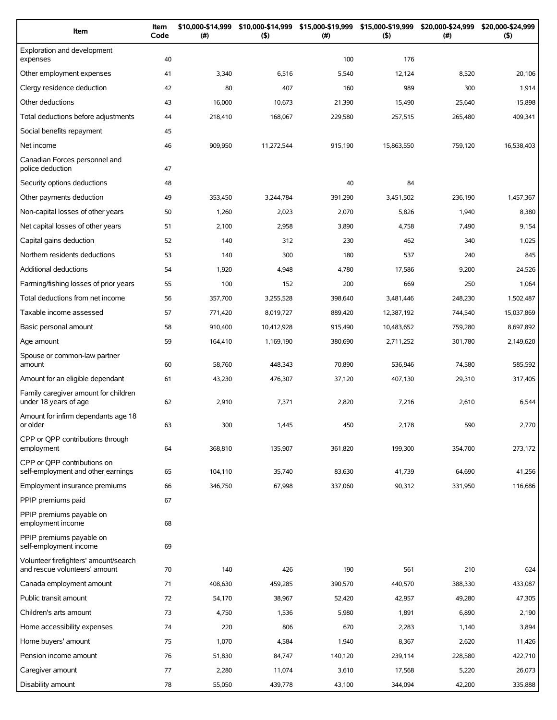| Item                                                                   | Item<br>Code | \$10,000-\$14,999<br>(#) | \$10,000-\$14,999<br>(5) | $(\#)$  | \$15,000-\$19,999 \$15,000-\$19,999<br>(5) | \$20,000-\$24,999<br>$(\#)$ | \$20,000-\$24,999<br>(5) |
|------------------------------------------------------------------------|--------------|--------------------------|--------------------------|---------|--------------------------------------------|-----------------------------|--------------------------|
| Exploration and development<br>expenses                                | 40           |                          |                          | 100     | 176                                        |                             |                          |
| Other employment expenses                                              | 41           | 3,340                    | 6,516                    | 5,540   | 12,124                                     | 8,520                       | 20,106                   |
| Clergy residence deduction                                             | 42           | 80                       | 407                      | 160     | 989                                        | 300                         | 1,914                    |
| Other deductions                                                       | 43           | 16,000                   | 10,673                   | 21,390  | 15,490                                     | 25,640                      | 15,898                   |
| Total deductions before adjustments                                    | 44           | 218,410                  | 168,067                  | 229,580 | 257,515                                    | 265,480                     | 409,341                  |
| Social benefits repayment                                              | 45           |                          |                          |         |                                            |                             |                          |
| Net income                                                             | 46           | 909,950                  | 11,272,544               | 915,190 | 15,863,550                                 | 759,120                     | 16,538,403               |
| Canadian Forces personnel and<br>police deduction                      | 47           |                          |                          |         |                                            |                             |                          |
| Security options deductions                                            | 48           |                          |                          | 40      | 84                                         |                             |                          |
| Other payments deduction                                               | 49           | 353,450                  | 3,244,784                | 391,290 | 3,451,502                                  | 236,190                     | 1,457,367                |
| Non-capital losses of other years                                      | 50           | 1,260                    | 2,023                    | 2,070   | 5,826                                      | 1,940                       | 8,380                    |
| Net capital losses of other years                                      | 51           | 2,100                    | 2,958                    | 3,890   | 4,758                                      | 7,490                       | 9,154                    |
| Capital gains deduction                                                | 52           | 140                      | 312                      | 230     | 462                                        | 340                         | 1,025                    |
| Northern residents deductions                                          | 53           | 140                      | 300                      | 180     | 537                                        | 240                         | 845                      |
| Additional deductions                                                  | 54           | 1,920                    | 4,948                    | 4,780   | 17,586                                     | 9,200                       | 24,526                   |
| Farming/fishing losses of prior years                                  | 55           | 100                      | 152                      | 200     | 669                                        | 250                         | 1,064                    |
| Total deductions from net income                                       | 56           | 357,700                  | 3,255,528                | 398,640 | 3,481,446                                  | 248,230                     | 1,502,487                |
| Taxable income assessed                                                | 57           | 771,420                  | 8,019,727                | 889,420 | 12,387,192                                 | 744,540                     | 15,037,869               |
| Basic personal amount                                                  | 58           | 910,400                  | 10,412,928               | 915,490 | 10,483,652                                 | 759,280                     | 8,697,892                |
| Age amount                                                             | 59           | 164,410                  | 1,169,190                | 380,690 | 2,711,252                                  | 301,780                     | 2,149,620                |
| Spouse or common-law partner<br>amount                                 | 60           | 58,760                   | 448,343                  | 70,890  | 536,946                                    | 74,580                      | 585,592                  |
| Amount for an eligible dependant                                       | 61           | 43,230                   | 476,307                  | 37,120  | 407,130                                    | 29,310                      | 317,405                  |
| Family caregiver amount for children<br>under 18 years of age          | 62           | 2,910                    | 7,371                    | 2,820   | 7,216                                      | 2,610                       | 6,544                    |
| Amount for infirm dependants age 18<br>or older                        | 63           | 300                      | 1,445                    | 450     | 2,178                                      | 590                         | 2,770                    |
| CPP or QPP contributions through<br>employment                         | 64           | 368,810                  | 135,907                  | 361,820 | 199,300                                    | 354,700                     | 273,172                  |
| CPP or OPP contributions on<br>self-employment and other earnings      | 65           | 104,110                  | 35,740                   | 83,630  | 41,739                                     | 64,690                      | 41,256                   |
| Employment insurance premiums                                          | 66           | 346,750                  | 67,998                   | 337,060 | 90,312                                     | 331,950                     | 116,686                  |
| PPIP premiums paid                                                     | 67           |                          |                          |         |                                            |                             |                          |
| PPIP premiums payable on<br>employment income                          | 68           |                          |                          |         |                                            |                             |                          |
| PPIP premiums payable on<br>self-employment income                     | 69           |                          |                          |         |                                            |                             |                          |
| Volunteer firefighters' amount/search<br>and rescue volunteers' amount | 70           | 140                      | 426                      | 190     | 561                                        | 210                         | 624                      |
| Canada employment amount                                               | 71           | 408,630                  | 459,285                  | 390,570 | 440,570                                    | 388,330                     | 433,087                  |
| Public transit amount                                                  | 72           | 54,170                   | 38,967                   | 52,420  | 42,957                                     | 49,280                      | 47,305                   |
| Children's arts amount                                                 | 73           | 4,750                    | 1,536                    | 5,980   | 1,891                                      | 6,890                       | 2,190                    |
| Home accessibility expenses                                            | 74           | 220                      | 806                      | 670     | 2,283                                      | 1,140                       | 3,894                    |
| Home buyers' amount                                                    | 75           | 1,070                    | 4,584                    | 1,940   | 8,367                                      | 2,620                       | 11,426                   |
| Pension income amount                                                  | 76           | 51,830                   | 84,747                   | 140,120 | 239,114                                    | 228,580                     | 422,710                  |
| Caregiver amount                                                       | 77           | 2,280                    | 11,074                   | 3,610   | 17,568                                     | 5,220                       | 26,073                   |
| Disability amount                                                      | 78           | 55,050                   | 439,778                  | 43,100  | 344,094                                    | 42,200                      | 335,888                  |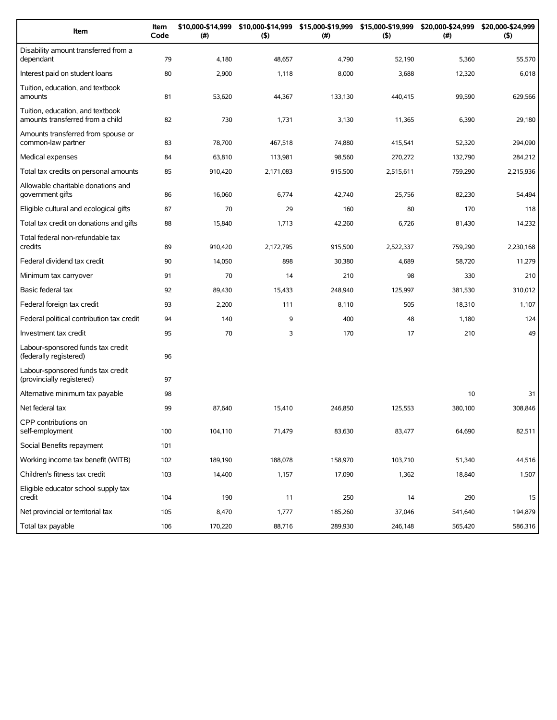| Item                                                                 | Item<br>Code | \$10,000-\$14,999<br>(#) | \$10,000-\$14,999<br>(5) | \$15,000-\$19,999<br>(#) | \$15,000-\$19,999<br>(5) | \$20,000-\$24,999<br>(#) | \$20,000-\$24,999<br>(5) |
|----------------------------------------------------------------------|--------------|--------------------------|--------------------------|--------------------------|--------------------------|--------------------------|--------------------------|
| Disability amount transferred from a<br>dependant                    | 79           | 4,180                    | 48,657                   | 4,790                    | 52,190                   | 5,360                    | 55,570                   |
| Interest paid on student loans                                       | 80           | 2,900                    | 1,118                    | 8,000                    | 3,688                    | 12,320                   | 6,018                    |
| Tuition, education, and textbook<br>amounts                          | 81           | 53,620                   | 44,367                   | 133,130                  | 440,415                  | 99,590                   | 629,566                  |
| Tuition, education, and textbook<br>amounts transferred from a child | 82           | 730                      | 1,731                    | 3,130                    | 11,365                   | 6,390                    | 29,180                   |
| Amounts transferred from spouse or<br>common-law partner             | 83           | 78,700                   | 467,518                  | 74,880                   | 415,541                  | 52,320                   | 294,090                  |
| Medical expenses                                                     | 84           | 63,810                   | 113,981                  | 98,560                   | 270,272                  | 132,790                  | 284,212                  |
| Total tax credits on personal amounts                                | 85           | 910,420                  | 2,171,083                | 915,500                  | 2,515,611                | 759,290                  | 2,215,936                |
| Allowable charitable donations and<br>government gifts               | 86           | 16,060                   | 6,774                    | 42,740                   | 25,756                   | 82,230                   | 54,494                   |
| Eligible cultural and ecological gifts                               | 87           | 70                       | 29                       | 160                      | 80                       | 170                      | 118                      |
| Total tax credit on donations and gifts                              | 88           | 15,840                   | 1,713                    | 42,260                   | 6,726                    | 81,430                   | 14,232                   |
| Total federal non-refundable tax<br>credits                          | 89           | 910.420                  | 2,172,795                | 915,500                  | 2,522,337                | 759,290                  | 2,230,168                |
| Federal dividend tax credit                                          | 90           | 14,050                   | 898                      | 30,380                   | 4,689                    | 58,720                   | 11,279                   |
| Minimum tax carryover                                                | 91           | 70                       | 14                       | 210                      | 98                       | 330                      | 210                      |
| Basic federal tax                                                    | 92           | 89,430                   | 15,433                   | 248,940                  | 125,997                  | 381,530                  | 310,012                  |
| Federal foreign tax credit                                           | 93           | 2,200                    | 111                      | 8,110                    | 505                      | 18,310                   | 1,107                    |
| Federal political contribution tax credit                            | 94           | 140                      | 9                        | 400                      | 48                       | 1,180                    | 124                      |
| Investment tax credit                                                | 95           | 70                       | 3                        | 170                      | 17                       | 210                      | 49                       |
| Labour-sponsored funds tax credit<br>(federally registered)          | 96           |                          |                          |                          |                          |                          |                          |
| Labour-sponsored funds tax credit<br>(provincially registered)       | 97           |                          |                          |                          |                          |                          |                          |
| Alternative minimum tax payable                                      | 98           |                          |                          |                          |                          | 10                       | 31                       |
| Net federal tax                                                      | 99           | 87,640                   | 15,410                   | 246,850                  | 125,553                  | 380,100                  | 308,846                  |
| CPP contributions on<br>self-employment                              | 100          | 104,110                  | 71,479                   | 83,630                   | 83,477                   | 64,690                   | 82,511                   |
| Social Benefits repayment                                            | 101          |                          |                          |                          |                          |                          |                          |
| Working income tax benefit (WITB)                                    | 102          | 189,190                  | 188,078                  | 158,970                  | 103,710                  | 51,340                   | 44,516                   |
| Children's fitness tax credit                                        | 103          | 14,400                   | 1,157                    | 17,090                   | 1,362                    | 18,840                   | 1,507                    |
| Eligible educator school supply tax<br>credit                        | 104          | 190                      | 11                       | 250                      | 14                       | 290                      | 15                       |
| Net provincial or territorial tax                                    | 105          | 8,470                    | 1,777                    | 185,260                  | 37,046                   | 541,640                  | 194,879                  |
| Total tax payable                                                    | 106          | 170,220                  | 88,716                   | 289,930                  | 246,148                  | 565,420                  | 586,316                  |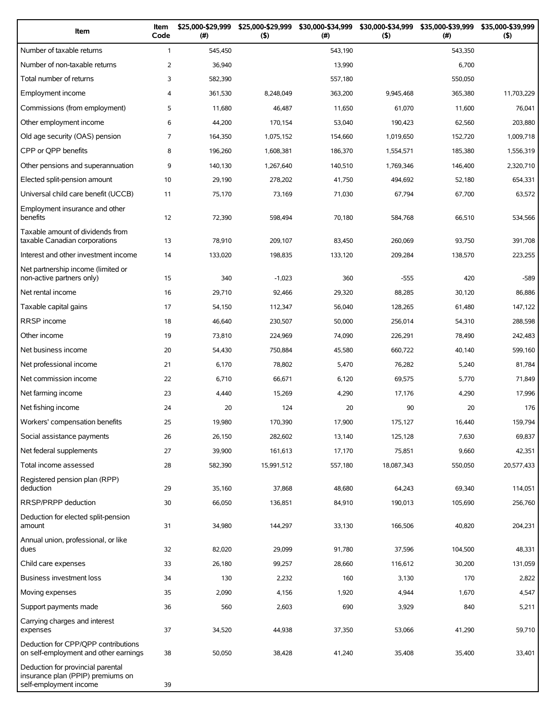| Item                                                                                             | Item<br>Code   | \$25,000-\$29,999<br>(# ) | \$25,000-\$29,999<br>(5) | \$30,000-\$34,999<br>(# ) | \$30,000-\$34,999<br>(5) | \$35,000-\$39,999<br>(#) | \$35,000-\$39,999<br>(5) |
|--------------------------------------------------------------------------------------------------|----------------|---------------------------|--------------------------|---------------------------|--------------------------|--------------------------|--------------------------|
| Number of taxable returns                                                                        | $\mathbf{1}$   | 545,450                   |                          | 543,190                   |                          | 543,350                  |                          |
| Number of non-taxable returns                                                                    | 2              | 36,940                    |                          | 13,990                    |                          | 6,700                    |                          |
| Total number of returns                                                                          | 3              | 582,390                   |                          | 557,180                   |                          | 550,050                  |                          |
| Employment income                                                                                | 4              | 361,530                   | 8,248,049                | 363,200                   | 9,945,468                | 365,380                  | 11,703,229               |
| Commissions (from employment)                                                                    | 5              | 11,680                    | 46,487                   | 11,650                    | 61,070                   | 11,600                   | 76,041                   |
| Other employment income                                                                          | 6              | 44,200                    | 170,154                  | 53,040                    | 190,423                  | 62,560                   | 203,880                  |
| Old age security (OAS) pension                                                                   | $\overline{7}$ | 164,350                   | 1,075,152                | 154,660                   | 1,019,650                | 152,720                  | 1,009,718                |
| CPP or QPP benefits                                                                              | 8              | 196,260                   | 1,608,381                | 186,370                   | 1,554,571                | 185,380                  | 1,556,319                |
| Other pensions and superannuation                                                                | 9              | 140,130                   | 1,267,640                | 140,510                   | 1,769,346                | 146,400                  | 2,320,710                |
| Elected split-pension amount                                                                     | 10             | 29,190                    | 278,202                  | 41,750                    | 494,692                  | 52,180                   | 654,331                  |
| Universal child care benefit (UCCB)                                                              | 11             | 75,170                    | 73,169                   | 71,030                    | 67,794                   | 67,700                   | 63,572                   |
| Employment insurance and other<br>benefits                                                       | 12             | 72,390                    | 598,494                  | 70,180                    | 584,768                  | 66,510                   | 534,566                  |
| Taxable amount of dividends from<br>taxable Canadian corporations                                | 13             | 78,910                    | 209,107                  | 83,450                    | 260,069                  | 93,750                   | 391,708                  |
| Interest and other investment income                                                             | 14             | 133,020                   | 198,835                  | 133,120                   | 209,284                  | 138,570                  | 223,255                  |
| Net partnership income (limited or<br>non-active partners only)                                  | 15             | 340                       | $-1,023$                 | 360                       | $-555$                   | 420                      | $-589$                   |
| Net rental income                                                                                | 16             | 29,710                    | 92,466                   | 29,320                    | 88,285                   | 30,120                   | 86,886                   |
| Taxable capital gains                                                                            | 17             | 54,150                    | 112,347                  | 56,040                    | 128,265                  | 61,480                   | 147,122                  |
| <b>RRSP</b> income                                                                               | 18             | 46,640                    | 230,507                  | 50,000                    | 256,014                  | 54,310                   | 288,598                  |
| Other income                                                                                     | 19             | 73,810                    | 224,969                  | 74,090                    | 226,291                  | 78,490                   | 242,483                  |
| Net business income                                                                              | 20             | 54,430                    | 750,884                  | 45,580                    | 660,722                  | 40,140                   | 599,160                  |
| Net professional income                                                                          | 21             | 6,170                     | 78,802                   | 5,470                     | 76,282                   | 5,240                    | 81,784                   |
| Net commission income                                                                            | 22             | 6,710                     | 66,671                   | 6,120                     | 69,575                   | 5,770                    | 71,849                   |
| Net farming income                                                                               | 23             | 4,440                     | 15,269                   | 4,290                     | 17,176                   | 4,290                    | 17,996                   |
| Net fishing income                                                                               | 24             | 20                        | 124                      | 20                        | 90                       | 20                       | 176                      |
| Workers' compensation benefits                                                                   | 25             | 19,980                    | 170,390                  | 17,900                    | 175,127                  | 16,440                   | 159,794                  |
| Social assistance payments                                                                       | 26             | 26,150                    | 282,602                  | 13,140                    | 125,128                  | 7,630                    | 69,837                   |
| Net federal supplements                                                                          | 27             | 39,900                    | 161,613                  | 17,170                    | 75,851                   | 9,660                    | 42,351                   |
| Total income assessed                                                                            | 28             | 582,390                   | 15,991,512               | 557,180                   | 18,087,343               | 550,050                  | 20,577,433               |
| Registered pension plan (RPP)<br>deduction                                                       | 29             | 35,160                    | 37,868                   | 48,680                    | 64,243                   | 69,340                   | 114,051                  |
| RRSP/PRPP deduction                                                                              | 30             | 66,050                    | 136,851                  | 84,910                    | 190,013                  | 105,690                  | 256,760                  |
| Deduction for elected split-pension<br>amount                                                    | 31             | 34,980                    | 144,297                  | 33,130                    | 166,506                  | 40,820                   | 204,231                  |
| Annual union, professional, or like<br>dues                                                      | 32             | 82,020                    | 29,099                   | 91,780                    | 37,596                   | 104,500                  | 48,331                   |
| Child care expenses                                                                              | 33             | 26,180                    | 99,257                   | 28,660                    | 116,612                  | 30,200                   | 131,059                  |
| Business investment loss                                                                         | 34             | 130                       | 2,232                    | 160                       | 3,130                    | 170                      | 2,822                    |
| Moving expenses                                                                                  | 35             | 2,090                     | 4,156                    | 1,920                     | 4,944                    | 1,670                    | 4,547                    |
| Support payments made                                                                            | 36             | 560                       | 2,603                    | 690                       | 3,929                    | 840                      | 5,211                    |
| Carrying charges and interest<br>expenses                                                        | 37             | 34,520                    | 44,938                   | 37,350                    | 53,066                   | 41,290                   | 59,710                   |
| Deduction for CPP/QPP contributions<br>on self-employment and other earnings                     | 38             | 50,050                    | 38,428                   | 41,240                    | 35,408                   | 35,400                   | 33,401                   |
| Deduction for provincial parental<br>insurance plan (PPIP) premiums on<br>self-employment income | 39             |                           |                          |                           |                          |                          |                          |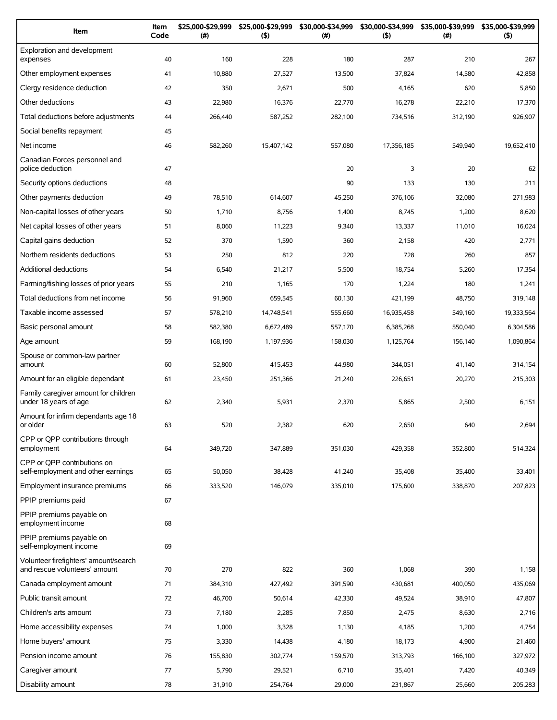| Item                                                                   | Item<br>Code | \$25,000-\$29,999<br>(#) | \$25,000-\$29,999<br>(5) | \$30,000-\$34,999<br>(#) | \$30,000-\$34,999<br>(5) | \$35,000-\$39,999<br>$(\#)$ | \$35,000-\$39,999<br>(5) |
|------------------------------------------------------------------------|--------------|--------------------------|--------------------------|--------------------------|--------------------------|-----------------------------|--------------------------|
| Exploration and development<br>expenses                                | 40           | 160                      | 228                      | 180                      | 287                      | 210                         | 267                      |
| Other employment expenses                                              | 41           | 10,880                   | 27,527                   | 13,500                   | 37,824                   | 14,580                      | 42,858                   |
| Clergy residence deduction                                             | 42           | 350                      | 2,671                    | 500                      | 4,165                    | 620                         | 5,850                    |
| Other deductions                                                       | 43           | 22,980                   | 16,376                   | 22,770                   | 16,278                   | 22,210                      | 17,370                   |
| Total deductions before adjustments                                    | 44           | 266,440                  | 587,252                  | 282,100                  | 734,516                  | 312,190                     | 926,907                  |
| Social benefits repayment                                              | 45           |                          |                          |                          |                          |                             |                          |
| Net income                                                             | 46           | 582,260                  | 15,407,142               | 557,080                  | 17,356,185               | 549,940                     | 19,652,410               |
| Canadian Forces personnel and<br>police deduction                      | 47           |                          |                          | 20                       | 3                        | 20                          | 62                       |
| Security options deductions                                            | 48           |                          |                          | 90                       | 133                      | 130                         | 211                      |
| Other payments deduction                                               | 49           | 78,510                   | 614,607                  | 45,250                   | 376,106                  | 32,080                      | 271,983                  |
| Non-capital losses of other years                                      | 50           | 1,710                    | 8,756                    | 1,400                    | 8,745                    | 1,200                       | 8,620                    |
| Net capital losses of other years                                      | 51           | 8,060                    | 11,223                   | 9,340                    | 13,337                   | 11,010                      | 16,024                   |
| Capital gains deduction                                                | 52           | 370                      | 1,590                    | 360                      | 2,158                    | 420                         | 2,771                    |
| Northern residents deductions                                          | 53           | 250                      | 812                      | 220                      | 728                      | 260                         | 857                      |
| <b>Additional deductions</b>                                           | 54           | 6,540                    | 21,217                   | 5,500                    | 18,754                   | 5,260                       | 17,354                   |
| Farming/fishing losses of prior years                                  | 55           | 210                      | 1,165                    | 170                      | 1,224                    | 180                         | 1,241                    |
| Total deductions from net income                                       | 56           | 91,960                   | 659,545                  | 60,130                   | 421,199                  | 48,750                      | 319,148                  |
| Taxable income assessed                                                | 57           | 578,210                  | 14,748,541               | 555,660                  | 16,935,458               | 549,160                     | 19,333,564               |
| Basic personal amount                                                  | 58           | 582,380                  | 6,672,489                | 557,170                  | 6,385,268                | 550,040                     | 6,304,586                |
| Age amount                                                             | 59           | 168,190                  | 1,197,936                | 158,030                  | 1,125,764                | 156,140                     | 1,090,864                |
| Spouse or common-law partner<br>amount                                 | 60           | 52,800                   | 415,453                  | 44,980                   | 344,051                  | 41,140                      | 314,154                  |
| Amount for an eligible dependant                                       | 61           | 23,450                   | 251,366                  | 21,240                   | 226,651                  | 20,270                      | 215,303                  |
| Family caregiver amount for children<br>under 18 years of age          | 62           | 2,340                    | 5,931                    | 2,370                    | 5,865                    | 2,500                       | 6,151                    |
| Amount for infirm dependants age 18<br>or older                        | 63           | 520                      | 2,382                    | 620                      | 2,650                    | 640                         | 2,694                    |
| CPP or QPP contributions through<br>employment                         | 64           | 349,720                  | 347,889                  | 351,030                  | 429,358                  | 352,800                     | 514,324                  |
| CPP or OPP contributions on<br>self-employment and other earnings      | 65           | 50,050                   | 38,428                   | 41,240                   | 35,408                   | 35,400                      | 33,401                   |
| Employment insurance premiums                                          | 66           | 333,520                  | 146,079                  | 335,010                  | 175,600                  | 338,870                     | 207,823                  |
| PPIP premiums paid                                                     | 67           |                          |                          |                          |                          |                             |                          |
| PPIP premiums payable on<br>employment income                          | 68           |                          |                          |                          |                          |                             |                          |
| PPIP premiums payable on<br>self-employment income                     | 69           |                          |                          |                          |                          |                             |                          |
| Volunteer firefighters' amount/search<br>and rescue volunteers' amount | 70           | 270                      | 822                      | 360                      | 1,068                    | 390                         | 1,158                    |
| Canada employment amount                                               | 71           | 384,310                  | 427,492                  | 391,590                  | 430,681                  | 400,050                     | 435,069                  |
| Public transit amount                                                  | 72           | 46,700                   | 50,614                   | 42,330                   | 49,524                   | 38,910                      | 47,807                   |
| Children's arts amount                                                 | 73           | 7,180                    | 2,285                    | 7,850                    | 2,475                    | 8,630                       | 2,716                    |
| Home accessibility expenses                                            | 74           | 1,000                    | 3,328                    | 1,130                    | 4,185                    | 1,200                       | 4,754                    |
| Home buyers' amount                                                    | 75           | 3,330                    | 14,438                   | 4,180                    | 18,173                   | 4,900                       | 21,460                   |
| Pension income amount                                                  | 76           | 155,830                  | 302,774                  | 159,570                  | 313,793                  | 166,100                     | 327,972                  |
| Caregiver amount                                                       | 77           | 5,790                    | 29,521                   | 6,710                    | 35,401                   | 7,420                       | 40,349                   |
| Disability amount                                                      | 78           | 31,910                   | 254,764                  | 29,000                   | 231,867                  | 25,660                      | 205,283                  |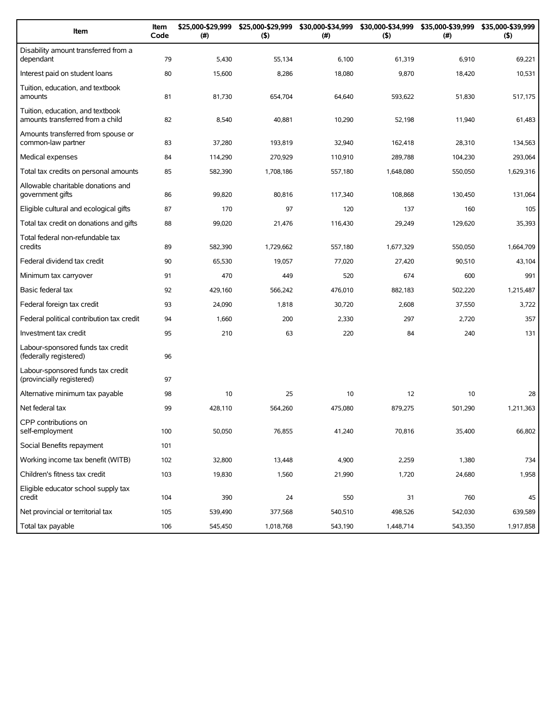| Item                                                                 | Item<br>Code | \$25,000-\$29,999<br>(#) | \$25,000-\$29,999<br>(5) | \$30,000-\$34,999<br>(#) | (5)       | \$30,000-\$34,999 \$35,000-\$39,999<br>(# ) | \$35,000-\$39,999<br>(5) |
|----------------------------------------------------------------------|--------------|--------------------------|--------------------------|--------------------------|-----------|---------------------------------------------|--------------------------|
| Disability amount transferred from a<br>dependant                    | 79           | 5,430                    | 55,134                   | 6,100                    | 61,319    | 6,910                                       | 69,221                   |
| Interest paid on student loans                                       | 80           | 15,600                   | 8,286                    | 18,080                   | 9,870     | 18,420                                      | 10,531                   |
| Tuition, education, and textbook<br>amounts                          | 81           | 81,730                   | 654,704                  | 64,640                   | 593,622   | 51,830                                      | 517,175                  |
| Tuition, education, and textbook<br>amounts transferred from a child | 82           | 8,540                    | 40,881                   | 10,290                   | 52,198    | 11,940                                      | 61,483                   |
| Amounts transferred from spouse or<br>common-law partner             | 83           | 37,280                   | 193,819                  | 32,940                   | 162,418   | 28,310                                      | 134,563                  |
| Medical expenses                                                     | 84           | 114,290                  | 270,929                  | 110,910                  | 289,788   | 104,230                                     | 293,064                  |
| Total tax credits on personal amounts                                | 85           | 582,390                  | 1,708,186                | 557,180                  | 1,648,080 | 550,050                                     | 1,629,316                |
| Allowable charitable donations and<br>government gifts               | 86           | 99,820                   | 80,816                   | 117,340                  | 108,868   | 130,450                                     | 131,064                  |
| Eligible cultural and ecological gifts                               | 87           | 170                      | 97                       | 120                      | 137       | 160                                         | 105                      |
| Total tax credit on donations and gifts                              | 88           | 99,020                   | 21,476                   | 116,430                  | 29,249    | 129,620                                     | 35,393                   |
| Total federal non-refundable tax<br>credits                          | 89           | 582,390                  | 1,729,662                | 557,180                  | 1,677,329 | 550,050                                     | 1.664.709                |
| Federal dividend tax credit                                          | 90           | 65,530                   | 19,057                   | 77,020                   | 27,420    | 90,510                                      | 43,104                   |
| Minimum tax carryover                                                | 91           | 470                      | 449                      | 520                      | 674       | 600                                         | 991                      |
| Basic federal tax                                                    | 92           | 429,160                  | 566,242                  | 476,010                  | 882,183   | 502,220                                     | 1,215,487                |
| Federal foreign tax credit                                           | 93           | 24,090                   | 1,818                    | 30,720                   | 2,608     | 37,550                                      | 3,722                    |
| Federal political contribution tax credit                            | 94           | 1,660                    | 200                      | 2,330                    | 297       | 2,720                                       | 357                      |
| Investment tax credit                                                | 95           | 210                      | 63                       | 220                      | 84        | 240                                         | 131                      |
| Labour-sponsored funds tax credit<br>(federally registered)          | 96           |                          |                          |                          |           |                                             |                          |
| Labour-sponsored funds tax credit<br>(provincially registered)       | 97           |                          |                          |                          |           |                                             |                          |
| Alternative minimum tax payable                                      | 98           | 10                       | 25                       | 10                       | 12        | 10                                          | 28                       |
| Net federal tax                                                      | 99           | 428,110                  | 564,260                  | 475,080                  | 879,275   | 501,290                                     | 1,211,363                |
| CPP contributions on<br>self-employment                              | 100          | 50,050                   | 76,855                   | 41,240                   | 70,816    | 35,400                                      | 66,802                   |
| Social Benefits repayment                                            | 101          |                          |                          |                          |           |                                             |                          |
| Working income tax benefit (WITB)                                    | 102          | 32,800                   | 13,448                   | 4,900                    | 2,259     | 1,380                                       | 734                      |
| Children's fitness tax credit                                        | 103          | 19,830                   | 1,560                    | 21,990                   | 1,720     | 24,680                                      | 1,958                    |
| Eligible educator school supply tax<br>credit                        | 104          | 390                      | 24                       | 550                      | 31        | 760                                         | 45                       |
| Net provincial or territorial tax                                    | 105          | 539,490                  | 377,568                  | 540,510                  | 498,526   | 542,030                                     | 639,589                  |
| Total tax payable                                                    | 106          | 545,450                  | 1,018,768                | 543,190                  | 1,448,714 | 543,350                                     | 1,917,858                |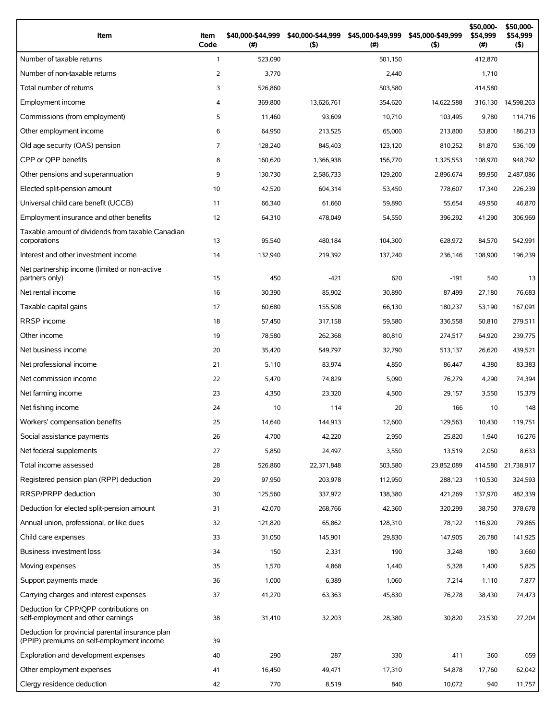| Item                                                                                          | Item<br>Code   | \$40,000-\$44,999<br>(#) | \$40,000-\$44,999<br>$($ \$) | \$45,000-\$49,999<br>(#) | \$45,000-\$49,999<br>(5) | \$50,000-<br>\$54,999<br>(#) | \$50,000-<br>\$54,999<br>(5) |
|-----------------------------------------------------------------------------------------------|----------------|--------------------------|------------------------------|--------------------------|--------------------------|------------------------------|------------------------------|
| Number of taxable returns                                                                     | $\mathbf{1}$   | 523,090                  |                              | 501,150                  |                          | 412,870                      |                              |
| Number of non-taxable returns                                                                 | $\overline{2}$ | 3,770                    |                              | 2,440                    |                          | 1,710                        |                              |
| Total number of returns                                                                       | 3              | 526,860                  |                              | 503,580                  |                          | 414,580                      |                              |
| Employment income                                                                             | 4              | 369,800                  | 13,626,761                   | 354,620                  | 14,622,588               | 316,130                      | 14,598,263                   |
| Commissions (from employment)                                                                 | 5              | 11,460                   | 93,609                       | 10,710                   | 103.495                  | 9,780                        | 114,716                      |
| Other employment income                                                                       | 6              | 64,950                   | 213,525                      | 65,000                   | 213,800                  | 53,800                       | 186,213                      |
| Old age security (OAS) pension                                                                | $\overline{7}$ | 128,240                  | 845,403                      | 123.120                  | 810,252                  | 81,870                       | 536,109                      |
| CPP or OPP benefits                                                                           | 8              | 160,620                  | 1,366,938                    | 156,770                  | 1,325,553                | 108,970                      | 948,792                      |
| Other pensions and superannuation                                                             | 9              | 130,730                  | 2,586,733                    | 129,200                  | 2,896,674                | 89,950                       | 2,487,086                    |
| Elected split-pension amount                                                                  | 10             | 42,520                   | 604,314                      | 53,450                   | 778,607                  | 17,340                       | 226,239                      |
| Universal child care benefit (UCCB)                                                           | 11             | 66,340                   | 61,660                       | 59,890                   | 55,654                   | 49,950                       | 46,870                       |
| Employment insurance and other benefits                                                       | 12             | 64,310                   | 478,049                      | 54,550                   | 396,292                  | 41,290                       | 306,969                      |
| Taxable amount of dividends from taxable Canadian<br>corporations                             | 13             | 95,540                   | 480,184                      | 104,300                  | 628,972                  | 84,570                       | 542,991                      |
| Interest and other investment income                                                          | 14             | 132,940                  | 219,392                      | 137,240                  | 236,146                  | 108,900                      | 196,239                      |
| Net partnership income (limited or non-active<br>partners only)                               | 15             | 450                      | $-421$                       | 620                      | $-191$                   | 540                          | 13                           |
| Net rental income                                                                             | 16             | 30,390                   | 85,902                       | 30,890                   | 87,499                   | 27,180                       | 76,683                       |
| Taxable capital gains                                                                         | 17             | 60,680                   | 155,508                      | 66,130                   | 180,237                  | 53,190                       | 167,091                      |
| <b>RRSP</b> income                                                                            | 18             | 57,450                   | 317,158                      | 59,580                   | 336,558                  | 50,810                       | 279,511                      |
| Other income                                                                                  | 19             | 78,580                   | 262,368                      | 80,810                   | 274,517                  | 64,920                       | 239,775                      |
| Net business income                                                                           | 20             | 35,420                   | 549,797                      | 32,790                   | 513,137                  | 26,620                       | 439,521                      |
| Net professional income                                                                       | 21             | 5,110                    | 83,974                       | 4,850                    | 86,447                   | 4,380                        | 83,383                       |
| Net commission income                                                                         | 22             | 5,470                    | 74,829                       | 5,090                    | 76.279                   | 4,290                        | 74,394                       |
| Net farming income                                                                            | 23             | 4,350                    | 23,320                       | 4,500                    | 29,157                   | 3,550                        | 15,379                       |
| Net fishing income                                                                            | 24             | 10                       | 114                          | 20                       | 166                      | 10                           | 148                          |
| Workers' compensation benefits                                                                | 25             | 14,640                   | 144,913                      | 12,600                   | 129,563                  | 10,430                       | 119,751                      |
| Social assistance payments                                                                    | 26             | 4,700                    | 42,220                       | 2,950                    | 25,820                   | 1,940                        | 16,276                       |
| Net federal supplements                                                                       | 27             | 5,850                    | 24,497                       | 3,550                    | 13,519                   | 2,050                        | 8,633                        |
| Total income assessed                                                                         | 28             | 526,860                  | 22,371,848                   | 503,580                  | 23,852,089               | 414,580                      | 21,738,917                   |
| Registered pension plan (RPP) deduction                                                       | 29             | 97,950                   | 203,978                      | 112,950                  | 288,123                  | 110,530                      | 324,593                      |
| RRSP/PRPP deduction                                                                           | 30             | 125,560                  | 337,972                      | 138,380                  | 421,269                  | 137,970                      | 482,339                      |
| Deduction for elected split-pension amount                                                    | 31             | 42,070                   | 268,766                      | 42,360                   | 320,299                  | 38,750                       | 378,678                      |
| Annual union, professional, or like dues                                                      | 32             | 121,820                  | 65,862                       | 128,310                  | 78,122                   | 116,920                      | 79,865                       |
| Child care expenses                                                                           | 33             | 31,050                   | 145,901                      | 29,830                   | 147,905                  | 26,780                       | 141,925                      |
| Business investment loss                                                                      | 34             | 150                      | 2,331                        | 190                      | 3,248                    | 180                          | 3,660                        |
| Moving expenses                                                                               | 35             | 1,570                    | 4,868                        | 1,440                    | 5,328                    | 1,400                        | 5,825                        |
| Support payments made                                                                         | 36             | 1,000                    | 6,389                        | 1,060                    | 7,214                    | 1,110                        | 7,877                        |
| Carrying charges and interest expenses                                                        | 37             | 41,270                   | 63,363                       | 45,830                   | 76,278                   | 38,430                       | 74,473                       |
| Deduction for CPP/QPP contributions on<br>self-employment and other earnings                  | 38             | 31,410                   | 32,203                       | 28,380                   | 30,820                   | 23,530                       | 27,204                       |
| Deduction for provincial parental insurance plan<br>(PPIP) premiums on self-employment income | 39             |                          |                              |                          |                          |                              |                              |
| Exploration and development expenses                                                          | 40             | 290                      | 287                          | 330                      | 411                      | 360                          | 659                          |
| Other employment expenses                                                                     | 41             | 16,450                   | 49,471                       | 17,310                   | 54,878                   | 17,760                       | 62,042                       |
| Clergy residence deduction                                                                    | 42             | 770                      | 8,519                        | 840                      | 10,072                   | 940                          | 11,757                       |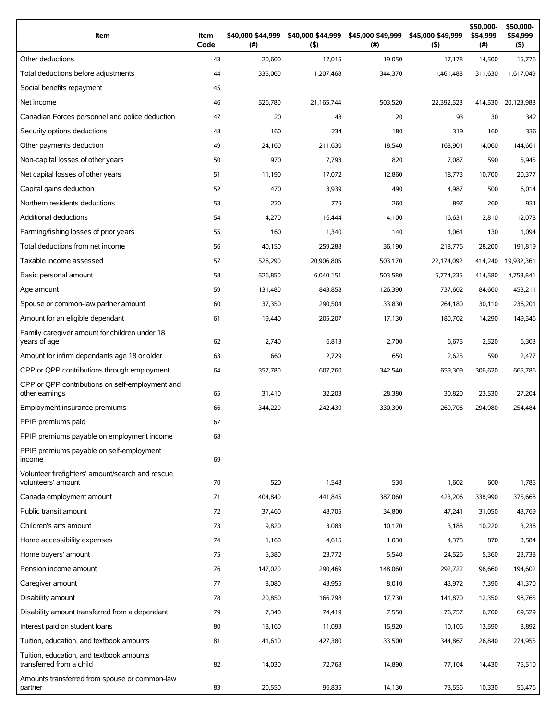| Item                                                                   | Item<br>Code | \$40,000-\$44,999<br>$(\#)$ | \$40,000-\$44,999<br>(5) | \$45,000-\$49,999<br>$($ #) | \$45,000-\$49,999<br>(5) | \$50,000-<br>\$54,999<br>(# ) | \$50,000-<br>\$54,999<br>(5) |
|------------------------------------------------------------------------|--------------|-----------------------------|--------------------------|-----------------------------|--------------------------|-------------------------------|------------------------------|
| Other deductions                                                       | 43           | 20,600                      | 17,015                   | 19,050                      | 17,178                   | 14,500                        | 15,776                       |
| Total deductions before adjustments                                    | 44           | 335,060                     | 1,207,468                | 344,370                     | 1.461.488                | 311,630                       | 1,617,049                    |
| Social benefits repayment                                              | 45           |                             |                          |                             |                          |                               |                              |
| Net income                                                             | 46           | 526,780                     | 21, 165, 744             | 503,520                     | 22,392,528               | 414,530                       | 20,123,988                   |
| Canadian Forces personnel and police deduction                         | 47           | 20                          | 43                       | 20                          | 93                       | 30                            | 342                          |
| Security options deductions                                            | 48           | 160                         | 234                      | 180                         | 319                      | 160                           | 336                          |
| Other payments deduction                                               | 49           | 24,160                      | 211,630                  | 18,540                      | 168,901                  | 14,060                        | 144,661                      |
| Non-capital losses of other years                                      | 50           | 970                         | 7,793                    | 820                         | 7,087                    | 590                           | 5,945                        |
| Net capital losses of other years                                      | 51           | 11,190                      | 17,072                   | 12,860                      | 18,773                   | 10,700                        | 20,377                       |
| Capital gains deduction                                                | 52           | 470                         | 3,939                    | 490                         | 4,987                    | 500                           | 6,014                        |
| Northern residents deductions                                          | 53           | 220                         | 779                      | 260                         | 897                      | 260                           | 931                          |
| Additional deductions                                                  | 54           | 4,270                       | 16,444                   | 4,100                       | 16,631                   | 2,810                         | 12,078                       |
| Farming/fishing losses of prior years                                  | 55           | 160                         | 1,340                    | 140                         | 1,061                    | 130                           | 1,094                        |
| Total deductions from net income                                       | 56           | 40,150                      | 259,288                  | 36,190                      | 218,776                  | 28,200                        | 191,819                      |
| Taxable income assessed                                                | 57           | 526,290                     | 20,906,805               | 503.170                     | 22,174,092               | 414,240                       | 19,932,361                   |
| Basic personal amount                                                  | 58           | 526,850                     | 6,040,151                | 503,580                     | 5,774,235                | 414,580                       | 4,753,841                    |
| Age amount                                                             | 59           | 131,480                     | 843,858                  | 126,390                     | 737,602                  | 84,660                        | 453,211                      |
| Spouse or common-law partner amount                                    | 60           | 37,350                      | 290,504                  | 33,830                      | 264,180                  | 30,110                        | 236,201                      |
| Amount for an eligible dependant                                       | 61           | 19,440                      | 205,207                  | 17,130                      | 180,702                  | 14,290                        | 149,546                      |
| Family caregiver amount for children under 18<br>years of age          | 62           | 2,740                       | 6,813                    | 2,700                       | 6,675                    | 2,520                         | 6,303                        |
| Amount for infirm dependants age 18 or older                           | 63           | 660                         | 2,729                    | 650                         | 2,625                    | 590                           | 2,477                        |
| CPP or QPP contributions through employment                            | 64           | 357,780                     | 607,760                  | 342,540                     | 659,309                  | 306,620                       | 665,786                      |
| CPP or QPP contributions on self-employment and<br>other earnings      | 65           | 31,410                      | 32,203                   | 28,380                      | 30,820                   | 23,530                        | 27,204                       |
| Employment insurance premiums                                          | 66           | 344,220                     | 242.439                  | 330,390                     | 260,706                  | 294.980                       | 254,484                      |
| PPIP premiums paid                                                     | 67           |                             |                          |                             |                          |                               |                              |
| PPIP premiums payable on employment income                             | 68           |                             |                          |                             |                          |                               |                              |
| PPIP premiums payable on self-employment<br>income                     | 69           |                             |                          |                             |                          |                               |                              |
| Volunteer firefighters' amount/search and rescue<br>volunteers' amount | 70           | 520                         | 1,548                    | 530                         | 1,602                    | 600                           | 1,785                        |
| Canada employment amount                                               | 71           | 404,840                     | 441,845                  | 387,060                     | 423,206                  | 338,990                       | 375,668                      |
| Public transit amount                                                  | 72           | 37,460                      | 48,705                   | 34,800                      | 47,241                   | 31,050                        | 43,769                       |
| Children's arts amount                                                 | 73           | 9,820                       | 3,083                    | 10,170                      | 3,188                    | 10,220                        | 3,236                        |
| Home accessibility expenses                                            | 74           | 1,160                       | 4,615                    | 1,030                       | 4,378                    | 870                           | 3,584                        |
| Home buyers' amount                                                    | 75           | 5,380                       | 23,772                   | 5,540                       | 24,526                   | 5,360                         | 23,738                       |
| Pension income amount                                                  | 76           | 147,020                     | 290,469                  | 148,060                     | 292,722                  | 98,660                        | 194,602                      |
| Caregiver amount                                                       | 77           | 8,080                       | 43,955                   | 8,010                       | 43,972                   | 7,390                         | 41,370                       |
| Disability amount                                                      | 78           | 20,850                      | 166,798                  | 17,730                      | 141,870                  | 12,350                        | 98,765                       |
| Disability amount transferred from a dependant                         | 79           | 7,340                       | 74,419                   | 7,550                       | 76,757                   | 6,700                         | 69,529                       |
| Interest paid on student loans                                         | 80           | 18,160                      | 11,093                   | 15,920                      | 10,106                   | 13,590                        | 8,892                        |
| Tuition, education, and textbook amounts                               | 81           | 41,610                      | 427,380                  | 33,500                      | 344,867                  | 26,840                        | 274,955                      |
| Tuition, education, and textbook amounts<br>transferred from a child   | 82           | 14,030                      | 72,768                   | 14,890                      | 77,104                   | 14,430                        | 75,510                       |
| Amounts transferred from spouse or common-law<br>partner               | 83           | 20,550                      | 96,835                   | 14,130                      | 73,556                   | 10,330                        | 56,476                       |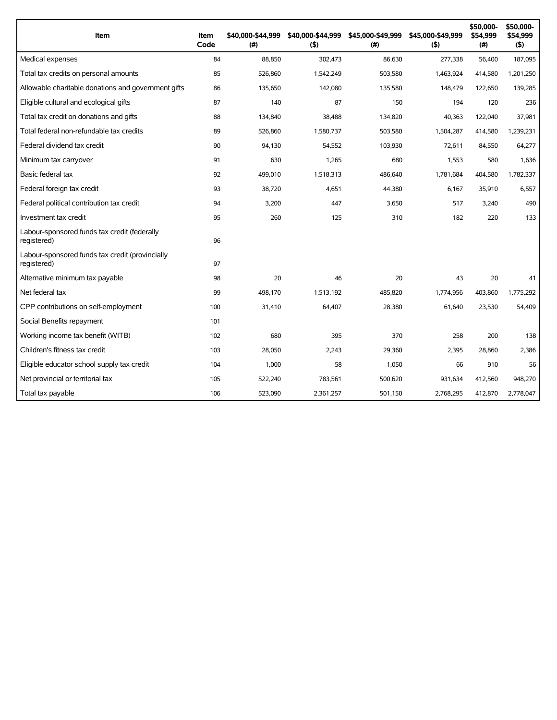| Item                                                           | Item<br>Code | \$40,000-\$44,999<br>(#) | \$40,000-\$44,999<br>(5) | \$45,000-\$49,999<br>(#) | \$45,000-\$49,999<br>(5) | \$50,000-<br>\$54,999<br>(#) | \$50,000-<br>\$54,999<br>(5) |
|----------------------------------------------------------------|--------------|--------------------------|--------------------------|--------------------------|--------------------------|------------------------------|------------------------------|
| Medical expenses                                               | 84           | 88,850                   | 302,473                  | 86,630                   | 277,338                  | 56,400                       | 187,095                      |
| Total tax credits on personal amounts                          | 85           | 526,860                  | 1,542,249                | 503,580                  | 1.463.924                | 414,580                      | 1,201,250                    |
| Allowable charitable donations and government gifts            | 86           | 135,650                  | 142,080                  | 135.580                  | 148,479                  | 122.650                      | 139,285                      |
| Eligible cultural and ecological gifts                         | 87           | 140                      | 87                       | 150                      | 194                      | 120                          | 236                          |
| Total tax credit on donations and gifts                        | 88           | 134,840                  | 38.488                   | 134,820                  | 40,363                   | 122,040                      | 37,981                       |
| Total federal non-refundable tax credits                       | 89           | 526,860                  | 1,580,737                | 503,580                  | 1,504,287                | 414,580                      | 1,239,231                    |
| Federal dividend tax credit                                    | 90           | 94,130                   | 54,552                   | 103,930                  | 72,611                   | 84,550                       | 64,277                       |
| Minimum tax carryover                                          | 91           | 630                      | 1,265                    | 680                      | 1,553                    | 580                          | 1,636                        |
| Basic federal tax                                              | 92           | 499,010                  | 1,518,313                | 486,640                  | 1,781,684                | 404,580                      | 1,782,337                    |
| Federal foreign tax credit                                     | 93           | 38,720                   | 4,651                    | 44,380                   | 6,167                    | 35,910                       | 6,557                        |
| Federal political contribution tax credit                      | 94           | 3,200                    | 447                      | 3,650                    | 517                      | 3,240                        | 490                          |
| Investment tax credit                                          | 95           | 260                      | 125                      | 310                      | 182                      | 220                          | 133                          |
| Labour-sponsored funds tax credit (federally<br>registered)    | 96           |                          |                          |                          |                          |                              |                              |
| Labour-sponsored funds tax credit (provincially<br>registered) | 97           |                          |                          |                          |                          |                              |                              |
| Alternative minimum tax payable                                | 98           | 20                       | 46                       | 20                       | 43                       | 20                           | 41                           |
| Net federal tax                                                | 99           | 498.170                  | 1,513,192                | 485,820                  | 1,774,956                | 403,860                      | 1,775,292                    |
| CPP contributions on self-employment                           | 100          | 31,410                   | 64,407                   | 28,380                   | 61,640                   | 23,530                       | 54,409                       |
| Social Benefits repayment                                      | 101          |                          |                          |                          |                          |                              |                              |
| Working income tax benefit (WITB)                              | 102          | 680                      | 395                      | 370                      | 258                      | 200                          | 138                          |
| Children's fitness tax credit                                  | 103          | 28,050                   | 2,243                    | 29,360                   | 2,395                    | 28,860                       | 2,386                        |
| Eligible educator school supply tax credit                     | 104          | 1,000                    | 58                       | 1,050                    | 66                       | 910                          | 56                           |
| Net provincial or territorial tax                              | 105          | 522,240                  | 783,561                  | 500,620                  | 931,634                  | 412,560                      | 948,270                      |
| Total tax payable                                              | 106          | 523,090                  | 2,361,257                | 501,150                  | 2,768,295                | 412,870                      | 2,778,047                    |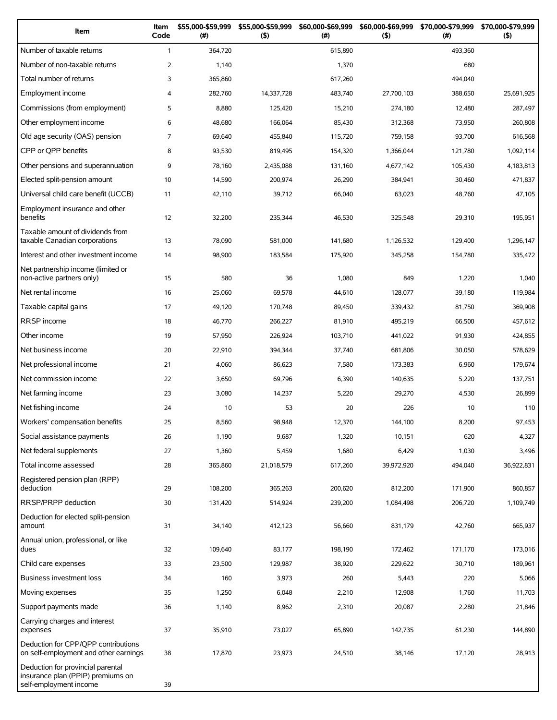| Item                                                                                             | Item<br>Code   | \$55,000-\$59,999<br>$(\#)$ | \$55,000-\$59,999<br>(5) | \$60,000-\$69,999<br>(# ) | \$60,000-\$69,999<br>(5) | \$70,000-\$79,999<br>$(\#)$ | \$70,000-\$79,999<br>(5) |
|--------------------------------------------------------------------------------------------------|----------------|-----------------------------|--------------------------|---------------------------|--------------------------|-----------------------------|--------------------------|
| Number of taxable returns                                                                        | $\mathbf{1}$   | 364,720                     |                          | 615,890                   |                          | 493,360                     |                          |
| Number of non-taxable returns                                                                    | 2              | 1,140                       |                          | 1,370                     |                          | 680                         |                          |
| Total number of returns                                                                          | 3              | 365,860                     |                          | 617,260                   |                          | 494,040                     |                          |
| Employment income                                                                                | 4              | 282,760                     | 14,337,728               | 483,740                   | 27,700,103               | 388,650                     | 25,691,925               |
| Commissions (from employment)                                                                    | 5              | 8,880                       | 125,420                  | 15,210                    | 274,180                  | 12,480                      | 287,497                  |
| Other employment income                                                                          | 6              | 48,680                      | 166,064                  | 85,430                    | 312,368                  | 73,950                      | 260,808                  |
| Old age security (OAS) pension                                                                   | $\overline{7}$ | 69,640                      | 455,840                  | 115,720                   | 759,158                  | 93,700                      | 616,568                  |
| CPP or OPP benefits                                                                              | 8              | 93,530                      | 819,495                  | 154,320                   | 1,366,044                | 121,780                     | 1,092,114                |
| Other pensions and superannuation                                                                | 9              | 78,160                      | 2,435,088                | 131,160                   | 4,677,142                | 105,430                     | 4,183,813                |
| Elected split-pension amount                                                                     | 10             | 14,590                      | 200,974                  | 26,290                    | 384,941                  | 30,460                      | 471,837                  |
| Universal child care benefit (UCCB)                                                              | 11             | 42,110                      | 39,712                   | 66,040                    | 63,023                   | 48,760                      | 47,105                   |
| Employment insurance and other<br>benefits                                                       | 12             | 32,200                      | 235,344                  | 46,530                    | 325,548                  | 29,310                      | 195,951                  |
| Taxable amount of dividends from<br>taxable Canadian corporations                                | 13             | 78,090                      | 581,000                  | 141,680                   | 1,126,532                | 129,400                     | 1,296,147                |
| Interest and other investment income                                                             | 14             | 98,900                      | 183,584                  | 175,920                   | 345,258                  | 154,780                     | 335,472                  |
| Net partnership income (limited or<br>non-active partners only)                                  | 15             | 580                         | 36                       | 1,080                     | 849                      | 1,220                       | 1,040                    |
| Net rental income                                                                                | 16             | 25,060                      | 69,578                   | 44,610                    | 128,077                  | 39,180                      | 119,984                  |
| Taxable capital gains                                                                            | 17             | 49,120                      | 170,748                  | 89,450                    | 339,432                  | 81,750                      | 369,908                  |
| RRSP income                                                                                      | 18             | 46,770                      | 266,227                  | 81,910                    | 495,219                  | 66,500                      | 457,612                  |
| Other income                                                                                     | 19             | 57,950                      | 226,924                  | 103,710                   | 441,022                  | 91,930                      | 424,855                  |
| Net business income                                                                              | 20             | 22,910                      | 394,344                  | 37,740                    | 681,806                  | 30,050                      | 578,629                  |
| Net professional income                                                                          | 21             | 4,060                       | 86,623                   | 7,580                     | 173,383                  | 6,960                       | 179,674                  |
| Net commission income                                                                            | 22             | 3,650                       | 69,796                   | 6,390                     | 140,635                  | 5,220                       | 137,751                  |
| Net farming income                                                                               | 23             | 3,080                       | 14,237                   | 5,220                     | 29,270                   | 4,530                       | 26,899                   |
| Net fishing income                                                                               | 24             | 10                          | 53                       | 20                        | 226                      | 10                          | 110                      |
| Workers' compensation benefits                                                                   | 25             | 8,560                       | 98,948                   | 12,370                    | 144,100                  | 8,200                       | 97,453                   |
| Social assistance payments                                                                       | 26             | 1,190                       | 9,687                    | 1,320                     | 10,151                   | 620                         | 4,327                    |
| Net federal supplements                                                                          | 27             | 1,360                       | 5,459                    | 1,680                     | 6,429                    | 1,030                       | 3,496                    |
| Total income assessed                                                                            | 28             | 365,860                     | 21,018,579               | 617,260                   | 39,972,920               | 494,040                     | 36,922,831               |
| Registered pension plan (RPP)<br>deduction                                                       | 29             | 108,200                     | 365,263                  | 200,620                   | 812,200                  | 171,900                     | 860,857                  |
| <b>RRSP/PRPP</b> deduction                                                                       | 30             | 131,420                     | 514,924                  | 239,200                   | 1,084,498                | 206,720                     | 1,109,749                |
| Deduction for elected split-pension<br>amount                                                    | 31             | 34,140                      | 412,123                  | 56,660                    | 831,179                  | 42,760                      | 665,937                  |
| Annual union, professional, or like<br>dues                                                      | 32             | 109,640                     | 83,177                   | 198,190                   | 172,462                  | 171,170                     | 173,016                  |
| Child care expenses                                                                              | 33             | 23,500                      | 129,987                  | 38,920                    | 229,622                  | 30,710                      | 189,961                  |
| Business investment loss                                                                         | 34             | 160                         | 3,973                    | 260                       | 5,443                    | 220                         | 5,066                    |
| Moving expenses                                                                                  | 35             | 1,250                       | 6,048                    | 2,210                     | 12,908                   | 1,760                       | 11,703                   |
| Support payments made                                                                            | 36             | 1,140                       | 8,962                    | 2,310                     | 20,087                   | 2,280                       | 21,846                   |
| Carrying charges and interest<br>expenses                                                        | 37             | 35,910                      | 73,027                   | 65,890                    | 142,735                  | 61,230                      | 144,890                  |
| Deduction for CPP/QPP contributions<br>on self-employment and other earnings                     | 38             | 17,870                      | 23,973                   | 24,510                    | 38,146                   | 17,120                      | 28,913                   |
| Deduction for provincial parental<br>insurance plan (PPIP) premiums on<br>self-employment income | 39             |                             |                          |                           |                          |                             |                          |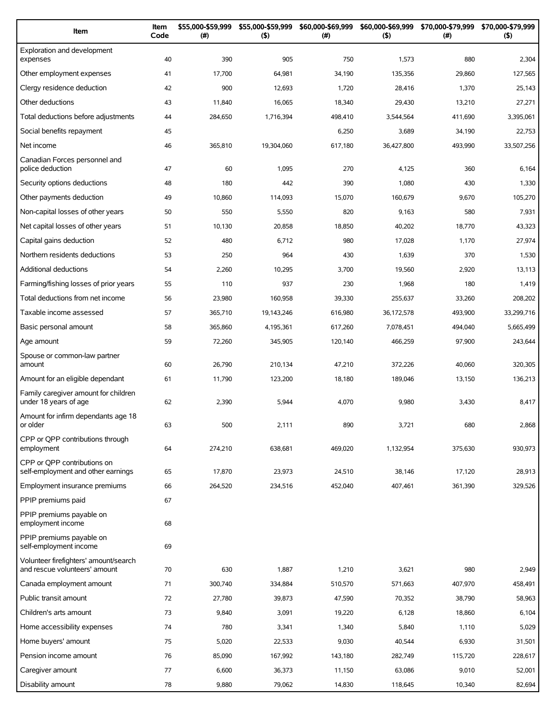| Item                                                                   | Item<br>Code | \$55,000-\$59,999<br>(#) | \$55,000-\$59,999<br>(5) | \$60,000-\$69,999<br>(# ) | \$60,000-\$69,999<br>(5) | \$70,000-\$79,999<br>(#) | \$70,000-\$79,999<br>(5) |
|------------------------------------------------------------------------|--------------|--------------------------|--------------------------|---------------------------|--------------------------|--------------------------|--------------------------|
| Exploration and development<br>expenses                                | 40           | 390                      | 905                      | 750                       | 1,573                    | 880                      | 2,304                    |
| Other employment expenses                                              | 41           | 17,700                   | 64,981                   | 34,190                    | 135,356                  | 29,860                   | 127,565                  |
| Clergy residence deduction                                             | 42           | 900                      | 12,693                   | 1,720                     | 28,416                   | 1,370                    | 25,143                   |
| Other deductions                                                       | 43           | 11,840                   | 16,065                   | 18,340                    | 29,430                   | 13,210                   | 27,271                   |
| Total deductions before adjustments                                    | 44           | 284,650                  | 1,716,394                | 498,410                   | 3,544,564                | 411,690                  | 3,395,061                |
| Social benefits repayment                                              | 45           |                          |                          | 6,250                     | 3,689                    | 34,190                   | 22,753                   |
| Net income                                                             | 46           | 365,810                  | 19,304,060               | 617,180                   | 36,427,800               | 493,990                  | 33,507,256               |
| Canadian Forces personnel and<br>police deduction                      | 47           | 60                       | 1,095                    | 270                       | 4,125                    | 360                      | 6,164                    |
| Security options deductions                                            | 48           | 180                      | 442                      | 390                       | 1,080                    | 430                      | 1,330                    |
| Other payments deduction                                               | 49           | 10,860                   | 114,093                  | 15,070                    | 160,679                  | 9,670                    | 105,270                  |
| Non-capital losses of other years                                      | 50           | 550                      | 5,550                    | 820                       | 9,163                    | 580                      | 7,931                    |
| Net capital losses of other years                                      | 51           | 10,130                   | 20,858                   | 18,850                    | 40,202                   | 18,770                   | 43,323                   |
| Capital gains deduction                                                | 52           | 480                      | 6,712                    | 980                       | 17,028                   | 1,170                    | 27,974                   |
| Northern residents deductions                                          | 53           | 250                      | 964                      | 430                       | 1,639                    | 370                      | 1,530                    |
| Additional deductions                                                  | 54           | 2,260                    | 10,295                   | 3,700                     | 19,560                   | 2,920                    | 13,113                   |
| Farming/fishing losses of prior years                                  | 55           | 110                      | 937                      | 230                       | 1,968                    | 180                      | 1,419                    |
| Total deductions from net income                                       | 56           | 23,980                   | 160,958                  | 39,330                    | 255,637                  | 33,260                   | 208,202                  |
| Taxable income assessed                                                | 57           | 365,710                  | 19,143,246               | 616,980                   | 36,172,578               | 493,900                  | 33,299,716               |
| Basic personal amount                                                  | 58           | 365,860                  | 4,195,361                | 617,260                   | 7,078,451                | 494,040                  | 5,665,499                |
| Age amount                                                             | 59           | 72,260                   | 345,905                  | 120,140                   | 466,259                  | 97,900                   | 243,644                  |
| Spouse or common-law partner<br>amount                                 | 60           | 26,790                   | 210,134                  | 47,210                    | 372,226                  | 40,060                   | 320,305                  |
| Amount for an eligible dependant                                       | 61           | 11,790                   | 123,200                  | 18,180                    | 189,046                  | 13,150                   | 136,213                  |
| Family caregiver amount for children<br>under 18 years of age          | 62           | 2,390                    | 5,944                    | 4,070                     | 9,980                    | 3,430                    | 8,417                    |
| Amount for infirm dependants age 18<br>or older                        | 63           | 500                      | 2,111                    | 890                       | 3,721                    | 680                      | 2,868                    |
| CPP or OPP contributions through<br>employment                         | 64           | 274,210                  | 638,681                  | 469,020                   | 1,132,954                | 375,630                  | 930,973                  |
| CPP or OPP contributions on<br>self-employment and other earnings      | 65           | 17,870                   | 23,973                   | 24,510                    | 38,146                   | 17,120                   | 28,913                   |
| Employment insurance premiums                                          | 66           | 264,520                  | 234,516                  | 452,040                   | 407,461                  | 361,390                  | 329,526                  |
| PPIP premiums paid                                                     | 67           |                          |                          |                           |                          |                          |                          |
| PPIP premiums payable on<br>employment income                          | 68           |                          |                          |                           |                          |                          |                          |
| PPIP premiums payable on<br>self-employment income                     | 69           |                          |                          |                           |                          |                          |                          |
| Volunteer firefighters' amount/search<br>and rescue volunteers' amount | 70           | 630                      | 1,887                    | 1,210                     | 3,621                    | 980                      | 2,949                    |
| Canada employment amount                                               | 71           | 300,740                  | 334,884                  | 510,570                   | 571,663                  | 407,970                  | 458,491                  |
| Public transit amount                                                  | 72           | 27,780                   | 39,873                   | 47,590                    | 70,352                   | 38,790                   | 58,963                   |
| Children's arts amount                                                 | 73           | 9,840                    | 3,091                    | 19,220                    | 6,128                    | 18,860                   | 6,104                    |
| Home accessibility expenses                                            | 74           | 780                      | 3,341                    | 1,340                     | 5,840                    | 1,110                    | 5,029                    |
| Home buyers' amount                                                    | 75           | 5,020                    | 22,533                   | 9,030                     | 40,544                   | 6,930                    | 31,501                   |
| Pension income amount                                                  | 76           | 85,090                   | 167,992                  | 143,180                   | 282,749                  | 115,720                  | 228,617                  |
| Caregiver amount                                                       | 77           | 6,600                    | 36,373                   | 11,150                    | 63,086                   | 9,010                    | 52,001                   |
| Disability amount                                                      | 78           | 9,880                    | 79,062                   | 14,830                    | 118,645                  | 10,340                   | 82,694                   |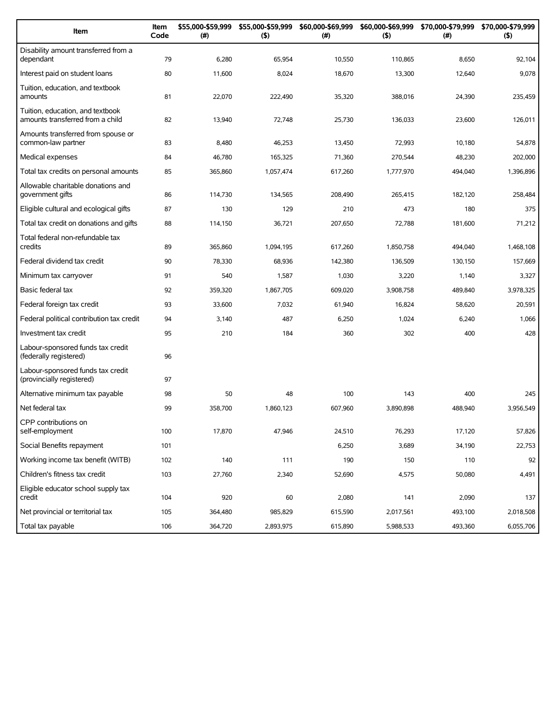| Item                                                                 | Item<br>Code | \$55,000-\$59,999<br>(#) | \$55,000-\$59,999<br>(5) | \$60,000-\$69,999<br>(#) | (5)       | \$60,000-\$69,999 \$70,000-\$79,999<br>(# ) | \$70,000-\$79,999<br>(5) |
|----------------------------------------------------------------------|--------------|--------------------------|--------------------------|--------------------------|-----------|---------------------------------------------|--------------------------|
| Disability amount transferred from a<br>dependant                    | 79           | 6,280                    | 65,954                   | 10,550                   | 110,865   | 8,650                                       | 92,104                   |
| Interest paid on student loans                                       | 80           | 11,600                   | 8,024                    | 18,670                   | 13,300    | 12,640                                      | 9,078                    |
| Tuition, education, and textbook<br>amounts                          | 81           | 22,070                   | 222,490                  | 35,320                   | 388,016   | 24,390                                      | 235,459                  |
| Tuition, education, and textbook<br>amounts transferred from a child | 82           | 13,940                   | 72,748                   | 25,730                   | 136,033   | 23,600                                      | 126,011                  |
| Amounts transferred from spouse or<br>common-law partner             | 83           | 8,480                    | 46,253                   | 13,450                   | 72,993    | 10,180                                      | 54,878                   |
| Medical expenses                                                     | 84           | 46,780                   | 165,325                  | 71,360                   | 270,544   | 48,230                                      | 202,000                  |
| Total tax credits on personal amounts                                | 85           | 365,860                  | 1,057,474                | 617,260                  | 1,777,970 | 494,040                                     | 1,396,896                |
| Allowable charitable donations and<br>government gifts               | 86           | 114,730                  | 134,565                  | 208,490                  | 265,415   | 182,120                                     | 258,484                  |
| Eligible cultural and ecological gifts                               | 87           | 130                      | 129                      | 210                      | 473       | 180                                         | 375                      |
| Total tax credit on donations and gifts                              | 88           | 114,150                  | 36,721                   | 207,650                  | 72,788    | 181,600                                     | 71,212                   |
| Total federal non-refundable tax<br>credits                          | 89           | 365,860                  | 1,094,195                | 617.260                  | 1.850.758 | 494,040                                     | 1,468,108                |
| Federal dividend tax credit                                          | 90           | 78,330                   | 68,936                   | 142,380                  | 136,509   | 130,150                                     | 157,669                  |
| Minimum tax carryover                                                | 91           | 540                      | 1,587                    | 1,030                    | 3,220     | 1,140                                       | 3,327                    |
| Basic federal tax                                                    | 92           | 359,320                  | 1,867,705                | 609,020                  | 3,908,758 | 489,840                                     | 3,978,325                |
| Federal foreign tax credit                                           | 93           | 33,600                   | 7,032                    | 61,940                   | 16,824    | 58,620                                      | 20,591                   |
| Federal political contribution tax credit                            | 94           | 3,140                    | 487                      | 6,250                    | 1,024     | 6,240                                       | 1,066                    |
| Investment tax credit                                                | 95           | 210                      | 184                      | 360                      | 302       | 400                                         | 428                      |
| Labour-sponsored funds tax credit<br>(federally registered)          | 96           |                          |                          |                          |           |                                             |                          |
| Labour-sponsored funds tax credit<br>(provincially registered)       | 97           |                          |                          |                          |           |                                             |                          |
| Alternative minimum tax payable                                      | 98           | 50                       | 48                       | 100                      | 143       | 400                                         | 245                      |
| Net federal tax                                                      | 99           | 358,700                  | 1,860,123                | 607,960                  | 3,890,898 | 488,940                                     | 3,956,549                |
| CPP contributions on<br>self-employment                              | 100          | 17,870                   | 47,946                   | 24,510                   | 76,293    | 17,120                                      | 57,826                   |
| Social Benefits repayment                                            | 101          |                          |                          | 6,250                    | 3,689     | 34,190                                      | 22,753                   |
| Working income tax benefit (WITB)                                    | 102          | 140                      | 111                      | 190                      | 150       | 110                                         | 92                       |
| Children's fitness tax credit                                        | 103          | 27,760                   | 2,340                    | 52,690                   | 4,575     | 50,080                                      | 4,491                    |
| Eligible educator school supply tax<br>credit                        | 104          | 920                      | 60                       | 2,080                    | 141       | 2,090                                       | 137                      |
| Net provincial or territorial tax                                    | 105          | 364,480                  | 985,829                  | 615,590                  | 2,017,561 | 493,100                                     | 2,018,508                |
| Total tax payable                                                    | 106          | 364,720                  | 2,893,975                | 615,890                  | 5,988,533 | 493,360                                     | 6,055,706                |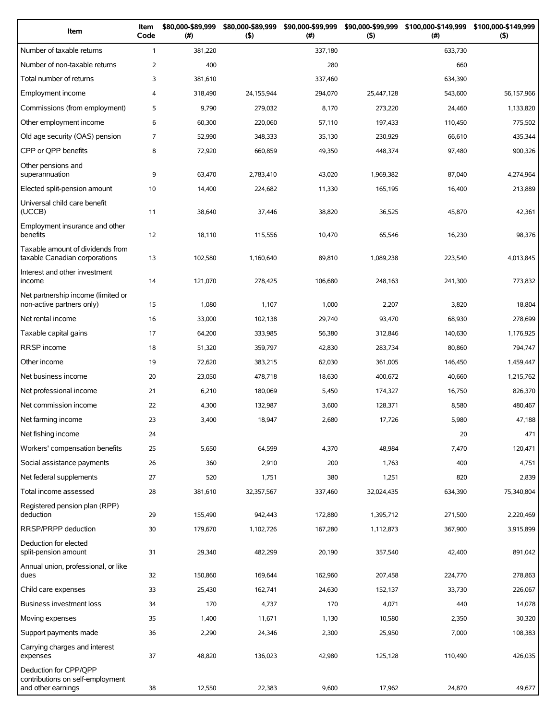| Item                                                                            | Item<br>Code   | \$80,000-\$89,999<br>(#) | \$80,000-\$89,999<br>(5) | \$90,000-\$99,999<br>(# ) | (5)        | \$90,000-\$99,999 \$100,000-\$149,999<br>(#) | \$100,000-\$149,999<br>(5) |
|---------------------------------------------------------------------------------|----------------|--------------------------|--------------------------|---------------------------|------------|----------------------------------------------|----------------------------|
| Number of taxable returns                                                       | $\mathbf{1}$   | 381,220                  |                          | 337,180                   |            | 633,730                                      |                            |
| Number of non-taxable returns                                                   | 2              | 400                      |                          | 280                       |            | 660                                          |                            |
| Total number of returns                                                         | 3              | 381,610                  |                          | 337,460                   |            | 634,390                                      |                            |
| Employment income                                                               | $\overline{4}$ | 318,490                  | 24,155,944               | 294,070                   | 25,447,128 | 543,600                                      | 56,157,966                 |
| Commissions (from employment)                                                   | 5              | 9,790                    | 279,032                  | 8,170                     | 273,220    | 24,460                                       | 1,133,820                  |
| Other employment income                                                         | 6              | 60,300                   | 220,060                  | 57,110                    | 197,433    | 110,450                                      | 775,502                    |
| Old age security (OAS) pension                                                  | $\overline{7}$ | 52,990                   | 348,333                  | 35,130                    | 230,929    | 66,610                                       | 435,344                    |
| CPP or QPP benefits                                                             | 8              | 72,920                   | 660,859                  | 49,350                    | 448,374    | 97,480                                       | 900,326                    |
| Other pensions and<br>superannuation                                            | 9              | 63,470                   | 2,783,410                | 43,020                    | 1,969,382  | 87,040                                       | 4,274,964                  |
| Elected split-pension amount                                                    | 10             | 14,400                   | 224,682                  | 11,330                    | 165,195    | 16,400                                       | 213,889                    |
| Universal child care benefit<br>(UCCB)                                          | 11             | 38,640                   | 37,446                   | 38,820                    | 36,525     | 45,870                                       | 42,361                     |
| Employment insurance and other<br>benefits                                      | 12             | 18,110                   | 115,556                  | 10,470                    | 65,546     | 16,230                                       | 98,376                     |
| Taxable amount of dividends from<br>taxable Canadian corporations               | 13             | 102,580                  | 1,160,640                | 89,810                    | 1,089,238  | 223,540                                      | 4,013,845                  |
| Interest and other investment<br>income                                         | 14             | 121,070                  | 278,425                  | 106,680                   | 248,163    | 241,300                                      | 773,832                    |
| Net partnership income (limited or<br>non-active partners only)                 | 15             | 1,080                    | 1,107                    | 1,000                     | 2,207      | 3,820                                        | 18,804                     |
| Net rental income                                                               | 16             | 33,000                   | 102,138                  | 29,740                    | 93,470     | 68,930                                       | 278,699                    |
| Taxable capital gains                                                           | 17             | 64,200                   | 333,985                  | 56,380                    | 312,846    | 140,630                                      | 1,176,925                  |
| <b>RRSP</b> income                                                              | 18             | 51,320                   | 359,797                  | 42,830                    | 283,734    | 80,860                                       | 794,747                    |
| Other income                                                                    | 19             | 72,620                   | 383,215                  | 62,030                    | 361,005    | 146,450                                      | 1,459,447                  |
| Net business income                                                             | 20             | 23,050                   | 478,718                  | 18,630                    | 400,672    | 40,660                                       | 1,215,762                  |
| Net professional income                                                         | 21             | 6,210                    | 180,069                  | 5,450                     | 174,327    | 16,750                                       | 826,370                    |
| Net commission income                                                           | 22             | 4,300                    | 132,987                  | 3,600                     | 128,371    | 8,580                                        | 480,467                    |
| Net farming income                                                              | 23             | 3,400                    | 18,947                   | 2,680                     | 17,726     | 5,980                                        | 47,188                     |
| Net fishing income                                                              | 24             |                          |                          |                           |            | 20                                           | 471                        |
| Workers' compensation benefits                                                  | 25             | 5,650                    | 64,599                   | 4,370                     | 48,984     | 7,470                                        | 120,471                    |
| Social assistance payments                                                      | 26             | 360                      | 2,910                    | 200                       | 1,763      | 400                                          | 4,751                      |
| Net federal supplements                                                         | 27             | 520                      | 1,751                    | 380                       | 1,251      | 820                                          | 2,839                      |
| Total income assessed                                                           | 28             | 381,610                  | 32,357,567               | 337,460                   | 32,024,435 | 634,390                                      | 75,340,804                 |
| Registered pension plan (RPP)<br>deduction                                      | 29             | 155,490                  | 942,443                  | 172,880                   | 1,395,712  | 271,500                                      | 2,220,469                  |
| RRSP/PRPP deduction                                                             | 30             | 179,670                  | 1,102,726                | 167,280                   | 1,112,873  | 367,900                                      | 3,915,899                  |
| Deduction for elected<br>split-pension amount                                   | 31             | 29,340                   | 482,299                  | 20,190                    | 357,540    | 42,400                                       | 891,042                    |
| Annual union, professional, or like<br>dues                                     | 32             | 150,860                  | 169,644                  | 162,960                   | 207,458    | 224,770                                      | 278,863                    |
| Child care expenses                                                             | 33             | 25,430                   | 162,741                  | 24,630                    | 152,137    | 33,730                                       | 226,067                    |
| <b>Business investment loss</b>                                                 | 34             | 170                      | 4,737                    | 170                       | 4,071      | 440                                          | 14,078                     |
| Moving expenses                                                                 | 35             | 1,400                    | 11,671                   | 1,130                     | 10,580     | 2,350                                        | 30,320                     |
| Support payments made                                                           | 36             | 2,290                    | 24,346                   | 2,300                     | 25,950     | 7,000                                        | 108,383                    |
| Carrying charges and interest<br>expenses                                       | 37             | 48,820                   | 136,023                  | 42,980                    | 125,128    | 110,490                                      | 426,035                    |
| Deduction for CPP/QPP<br>contributions on self-employment<br>and other earnings | 38             | 12,550                   | 22,383                   | 9,600                     | 17,962     | 24,870                                       | 49,677                     |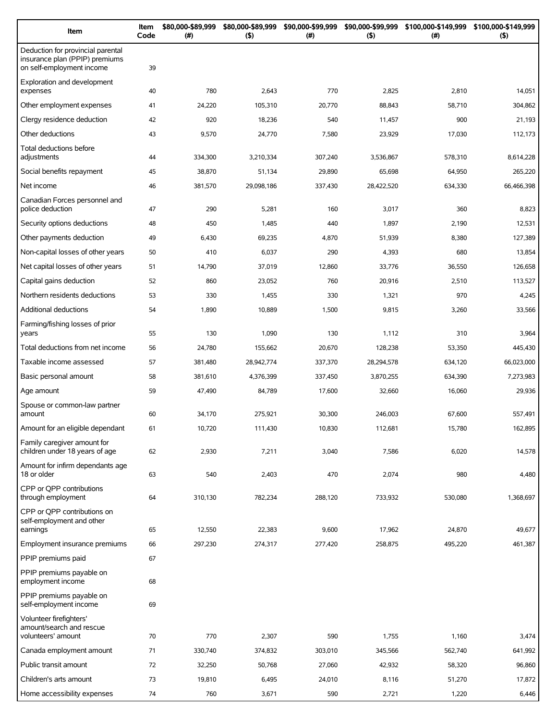| Item                                                                                             | Item<br>Code | \$80,000-\$89,999<br>(# ) | \$80,000-\$89,999<br>(5) | \$90,000-\$99,999<br>(# ) | \$90,000-\$99,999<br>(5) | \$100,000-\$149,999<br>(# ) | \$100,000-\$149,999<br>(5) |
|--------------------------------------------------------------------------------------------------|--------------|---------------------------|--------------------------|---------------------------|--------------------------|-----------------------------|----------------------------|
| Deduction for provincial parental<br>insurance plan (PPIP) premiums<br>on self-employment income | 39           |                           |                          |                           |                          |                             |                            |
| Exploration and development<br>expenses                                                          | 40           | 780                       | 2,643                    | 770                       | 2,825                    | 2,810                       | 14,051                     |
| Other employment expenses                                                                        | 41           | 24,220                    | 105,310                  | 20,770                    | 88,843                   | 58,710                      | 304,862                    |
| Clergy residence deduction                                                                       | 42           | 920                       | 18,236                   | 540                       | 11,457                   | 900                         | 21,193                     |
| Other deductions                                                                                 | 43           | 9,570                     | 24,770                   | 7,580                     | 23,929                   | 17,030                      | 112,173                    |
| Total deductions before<br>adjustments                                                           | 44           | 334,300                   | 3,210,334                | 307,240                   | 3,536,867                | 578,310                     | 8,614,228                  |
| Social benefits repayment                                                                        | 45           | 38,870                    | 51,134                   | 29,890                    | 65,698                   | 64,950                      | 265,220                    |
| Net income                                                                                       | 46           | 381,570                   | 29,098,186               | 337,430                   | 28,422,520               | 634,330                     | 66,466,398                 |
| Canadian Forces personnel and<br>police deduction                                                | 47           | 290                       | 5,281                    | 160                       | 3,017                    | 360                         | 8,823                      |
| Security options deductions                                                                      | 48           | 450                       | 1,485                    | 440                       | 1,897                    | 2,190                       | 12,531                     |
| Other payments deduction                                                                         | 49           | 6,430                     | 69,235                   | 4,870                     | 51,939                   | 8,380                       | 127,389                    |
| Non-capital losses of other years                                                                | 50           | 410                       | 6,037                    | 290                       | 4,393                    | 680                         | 13,854                     |
| Net capital losses of other years                                                                | 51           | 14,790                    | 37,019                   | 12,860                    | 33,776                   | 36,550                      | 126,658                    |
| Capital gains deduction                                                                          | 52           | 860                       | 23,052                   | 760                       | 20,916                   | 2,510                       | 113,527                    |
| Northern residents deductions                                                                    | 53           | 330                       | 1,455                    | 330                       | 1,321                    | 970                         | 4,245                      |
|                                                                                                  |              |                           |                          |                           |                          |                             |                            |
| Additional deductions<br>Farming/fishing losses of prior                                         | 54           | 1,890                     | 10,889                   | 1,500                     | 9,815                    | 3,260                       | 33,566                     |
| years                                                                                            | 55           | 130                       | 1,090                    | 130                       | 1,112                    | 310                         | 3,964                      |
| Total deductions from net income                                                                 | 56           | 24,780                    | 155,662                  | 20,670                    | 128,238                  | 53,350                      | 445,430                    |
| Taxable income assessed                                                                          | 57           | 381,480                   | 28,942,774               | 337,370                   | 28,294,578               | 634,120                     | 66,023,000                 |
| Basic personal amount                                                                            | 58           | 381,610                   | 4,376,399                | 337,450                   | 3,870,255                | 634,390                     | 7,273,983                  |
| Age amount                                                                                       | 59           | 47,490                    | 84,789                   | 17,600                    | 32,660                   | 16,060                      | 29,936                     |
| Spouse or common-law partner<br>amount                                                           | 60           | 34,170                    | 275,921                  | 30,300                    | 246,003                  | 67,600                      | 557,491                    |
| Amount for an eligible dependant                                                                 | 61           | 10,720                    | 111,430                  | 10,830                    | 112,681                  | 15,780                      | 162,895                    |
| Family caregiver amount for<br>children under 18 years of age                                    | 62           | 2,930                     | 7,211                    | 3,040                     | 7,586                    | 6,020                       | 14,578                     |
| Amount for infirm dependants age<br>18 or older                                                  | 63           | 540                       | 2,403                    | 470                       | 2,074                    | 980                         | 4,480                      |
| CPP or OPP contributions<br>through employment                                                   | 64           | 310,130                   | 782,234                  | 288,120                   | 733,932                  | 530,080                     | 1,368,697                  |
| CPP or QPP contributions on<br>self-employment and other<br>earnings                             | 65           | 12,550                    | 22,383                   | 9,600                     | 17,962                   | 24,870                      | 49,677                     |
| Employment insurance premiums                                                                    | 66           | 297,230                   | 274,317                  | 277,420                   | 258,875                  | 495,220                     | 461,387                    |
| PPIP premiums paid                                                                               | 67           |                           |                          |                           |                          |                             |                            |
| PPIP premiums payable on<br>employment income                                                    | 68           |                           |                          |                           |                          |                             |                            |
| PPIP premiums payable on<br>self-employment income                                               | 69           |                           |                          |                           |                          |                             |                            |
| Volunteer firefighters'<br>amount/search and rescue<br>volunteers' amount                        | 70           | 770                       | 2,307                    | 590                       | 1,755                    | 1,160                       | 3,474                      |
| Canada employment amount                                                                         | 71           | 330,740                   | 374,832                  | 303,010                   | 345,566                  | 562,740                     | 641,992                    |
| Public transit amount                                                                            | 72           | 32,250                    | 50,768                   | 27,060                    | 42,932                   | 58,320                      | 96,860                     |
| Children's arts amount                                                                           | 73           | 19,810                    | 6,495                    | 24,010                    | 8,116                    | 51,270                      | 17,872                     |
| Home accessibility expenses                                                                      | 74           | 760                       | 3,671                    | 590                       | 2,721                    | 1,220                       | 6,446                      |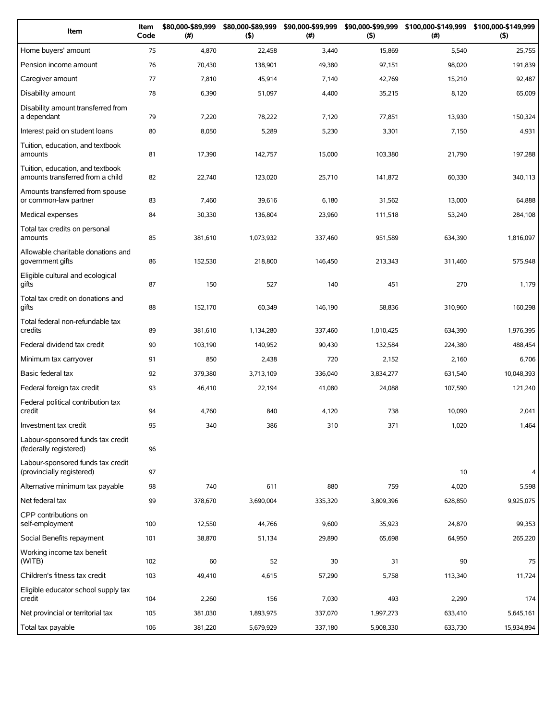| Item                                                                 | Item<br>Code | \$80,000-\$89,999<br>(# ) | \$80,000-\$89,999<br>(5) | \$90,000-\$99,999<br>(# ) | \$90,000-\$99,999<br>(5) | \$100,000-\$149,999<br>(#) | \$100,000-\$149,999<br>(5) |
|----------------------------------------------------------------------|--------------|---------------------------|--------------------------|---------------------------|--------------------------|----------------------------|----------------------------|
| Home buyers' amount                                                  | 75           | 4,870                     | 22,458                   | 3,440                     | 15,869                   | 5,540                      | 25,755                     |
| Pension income amount                                                | 76           | 70,430                    | 138,901                  | 49,380                    | 97,151                   | 98,020                     | 191,839                    |
| Caregiver amount                                                     | 77           | 7,810                     | 45,914                   | 7,140                     | 42,769                   | 15,210                     | 92,487                     |
| Disability amount                                                    | 78           | 6,390                     | 51,097                   | 4,400                     | 35,215                   | 8,120                      | 65,009                     |
| Disability amount transferred from<br>a dependant                    | 79           | 7,220                     | 78,222                   | 7,120                     | 77,851                   | 13,930                     | 150,324                    |
| Interest paid on student loans                                       | 80           | 8,050                     | 5,289                    | 5,230                     | 3,301                    | 7,150                      | 4,931                      |
| Tuition, education, and textbook<br>amounts                          | 81           | 17,390                    | 142,757                  | 15,000                    | 103,380                  | 21,790                     | 197,288                    |
| Tuition, education, and textbook<br>amounts transferred from a child | 82           | 22,740                    | 123,020                  | 25,710                    | 141,872                  | 60,330                     | 340,113                    |
| Amounts transferred from spouse<br>or common-law partner             | 83           | 7,460                     | 39,616                   | 6,180                     | 31,562                   | 13,000                     | 64,888                     |
| Medical expenses                                                     | 84           | 30,330                    | 136,804                  | 23,960                    | 111,518                  | 53,240                     | 284,108                    |
| Total tax credits on personal<br>amounts                             | 85           | 381,610                   | 1,073,932                | 337,460                   | 951,589                  | 634,390                    | 1,816,097                  |
| Allowable charitable donations and<br>government gifts               | 86           | 152,530                   | 218,800                  | 146,450                   | 213,343                  | 311,460                    | 575,948                    |
| Eligible cultural and ecological<br>gifts                            | 87           | 150                       | 527                      | 140                       | 451                      | 270                        | 1,179                      |
| Total tax credit on donations and<br>qifts                           | 88           | 152,170                   | 60,349                   | 146,190                   | 58,836                   | 310,960                    | 160,298                    |
| Total federal non-refundable tax<br>credits                          | 89           | 381,610                   | 1,134,280                | 337,460                   | 1,010,425                | 634,390                    | 1,976,395                  |
| Federal dividend tax credit                                          | 90           | 103,190                   | 140,952                  | 90,430                    | 132,584                  | 224,380                    | 488,454                    |
| Minimum tax carryover                                                | 91           | 850                       | 2,438                    | 720                       | 2,152                    | 2,160                      | 6,706                      |
| Basic federal tax                                                    | 92           | 379,380                   | 3,713,109                | 336,040                   | 3,834,277                | 631,540                    | 10,048,393                 |
| Federal foreign tax credit                                           | 93           | 46,410                    | 22,194                   | 41,080                    | 24,088                   | 107,590                    | 121,240                    |
| Federal political contribution tax<br>credit                         | 94           | 4,760                     | 840                      | 4,120                     | 738                      | 10,090                     | 2,041                      |
| Investment tax credit                                                | 95           | 340                       | 386                      | 310                       | 371                      | 1,020                      | 1,464                      |
| Labour-sponsored funds tax credit<br>(federally registered)          | 96           |                           |                          |                           |                          |                            |                            |
| Labour-sponsored funds tax credit<br>(provincially registered)       | 97           |                           |                          |                           |                          | 10                         | $\overline{4}$             |
| Alternative minimum tax payable                                      | 98           | 740                       | 611                      | 880                       | 759                      | 4,020                      | 5,598                      |
| Net federal tax                                                      | 99           | 378,670                   | 3,690,004                | 335,320                   | 3,809,396                | 628,850                    | 9,925,075                  |
| CPP contributions on<br>self-employment                              | 100          | 12,550                    | 44,766                   | 9,600                     | 35,923                   | 24,870                     | 99,353                     |
| Social Benefits repayment                                            | 101          | 38,870                    | 51,134                   | 29,890                    | 65,698                   | 64,950                     | 265,220                    |
| Working income tax benefit<br>(WITB)                                 | 102          | 60                        | 52                       | 30                        | 31                       | 90                         | 75                         |
| Children's fitness tax credit                                        | 103          | 49,410                    | 4,615                    | 57,290                    | 5,758                    | 113,340                    | 11,724                     |
| Eligible educator school supply tax<br>credit                        | 104          | 2,260                     | 156                      | 7,030                     | 493                      | 2,290                      | 174                        |
| Net provincial or territorial tax                                    | 105          | 381,030                   | 1,893,975                | 337,070                   | 1,997,273                | 633,410                    | 5,645,161                  |
| Total tax payable                                                    | 106          | 381,220                   | 5,679,929                | 337,180                   | 5,908,330                | 633,730                    | 15,934,894                 |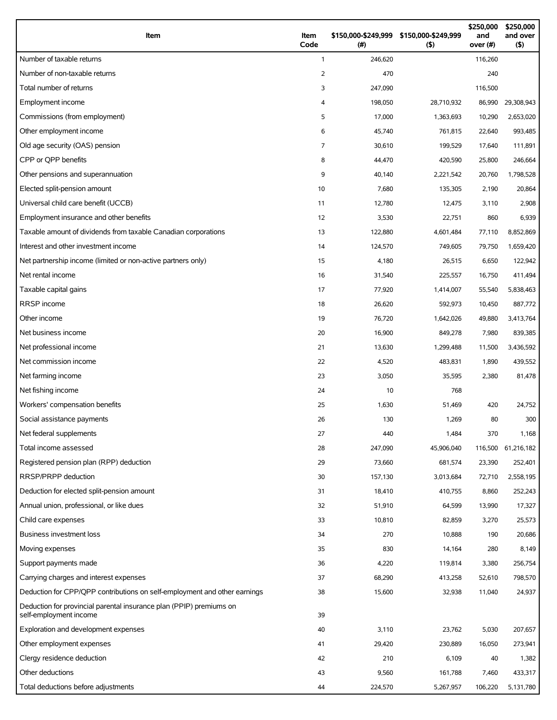| Item                                                                                          | Item<br>Code   | (# )    | \$150,000-\$249,999 \$150,000-\$249,999<br>(5) | \$250,000<br>and<br>over (#) | \$250,000<br>and over<br>(5) |
|-----------------------------------------------------------------------------------------------|----------------|---------|------------------------------------------------|------------------------------|------------------------------|
| Number of taxable returns                                                                     | $\mathbf{1}$   | 246,620 |                                                | 116,260                      |                              |
| Number of non-taxable returns                                                                 | 2              | 470     |                                                | 240                          |                              |
| Total number of returns                                                                       | 3              | 247,090 |                                                | 116,500                      |                              |
| Employment income                                                                             | 4              | 198,050 | 28,710,932                                     | 86,990                       | 29,308,943                   |
| Commissions (from employment)                                                                 | 5              | 17,000  | 1,363,693                                      | 10,290                       | 2,653,020                    |
| Other employment income                                                                       | 6              | 45,740  | 761,815                                        | 22,640                       | 993,485                      |
| Old age security (OAS) pension                                                                | $\overline{7}$ | 30,610  | 199,529                                        | 17,640                       | 111,891                      |
| CPP or OPP benefits                                                                           | 8              | 44,470  | 420,590                                        | 25,800                       | 246,664                      |
| Other pensions and superannuation                                                             | 9              | 40,140  | 2,221,542                                      | 20,760                       | 1,798,528                    |
| Elected split-pension amount                                                                  | 10             | 7,680   | 135,305                                        | 2,190                        | 20,864                       |
| Universal child care benefit (UCCB)                                                           | 11             | 12,780  | 12,475                                         | 3,110                        | 2,908                        |
| Employment insurance and other benefits                                                       | 12             | 3,530   | 22,751                                         | 860                          | 6,939                        |
| Taxable amount of dividends from taxable Canadian corporations                                | 13             | 122,880 | 4,601,484                                      | 77,110                       | 8,852,869                    |
| Interest and other investment income                                                          | 14             | 124,570 | 749,605                                        | 79,750                       | 1,659,420                    |
| Net partnership income (limited or non-active partners only)                                  | 15             | 4,180   | 26,515                                         | 6,650                        | 122,942                      |
| Net rental income                                                                             | 16             | 31,540  | 225,557                                        | 16,750                       | 411,494                      |
| Taxable capital gains                                                                         | 17             | 77,920  | 1,414,007                                      | 55,540                       | 5,838,463                    |
| <b>RRSP</b> income                                                                            | 18             | 26,620  | 592,973                                        | 10,450                       | 887,772                      |
| Other income                                                                                  | 19             | 76,720  | 1,642,026                                      | 49,880                       | 3,413,764                    |
| Net business income                                                                           | 20             | 16,900  | 849,278                                        | 7,980                        | 839,385                      |
| Net professional income                                                                       | 21             | 13,630  | 1,299,488                                      | 11,500                       | 3,436,592                    |
| Net commission income                                                                         | 22             | 4,520   | 483,831                                        | 1,890                        | 439,552                      |
| Net farming income                                                                            | 23             | 3,050   | 35,595                                         | 2,380                        | 81,478                       |
| Net fishing income                                                                            | 24             | 10      | 768                                            |                              |                              |
| Workers' compensation benefits                                                                | 25             | 1,630   | 51,469                                         | 420                          | 24,752                       |
| Social assistance payments                                                                    | 26             | 130     | 1,269                                          | 80                           | 300                          |
| Net federal supplements                                                                       | 27             | 440     | 1,484                                          | 370                          | 1,168                        |
| Total income assessed                                                                         | 28             | 247,090 | 45,906,040                                     | 116,500                      | 61,216,182                   |
| Registered pension plan (RPP) deduction                                                       | 29             | 73,660  | 681,574                                        | 23,390                       | 252,401                      |
| RRSP/PRPP deduction                                                                           | 30             | 157,130 | 3,013,684                                      | 72,710                       | 2,558,195                    |
| Deduction for elected split-pension amount                                                    | 31             | 18,410  | 410,755                                        | 8,860                        | 252,243                      |
| Annual union, professional, or like dues                                                      | 32             | 51,910  | 64,599                                         | 13,990                       | 17,327                       |
| Child care expenses                                                                           | 33             | 10,810  | 82,859                                         | 3,270                        | 25,573                       |
| Business investment loss                                                                      | 34             | 270     | 10,888                                         | 190                          | 20,686                       |
| Moving expenses                                                                               | 35             | 830     | 14,164                                         | 280                          | 8,149                        |
| Support payments made                                                                         | 36             | 4,220   | 119,814                                        | 3,380                        | 256,754                      |
| Carrying charges and interest expenses                                                        | 37             | 68,290  | 413,258                                        | 52,610                       | 798,570                      |
| Deduction for CPP/QPP contributions on self-employment and other earnings                     | 38             | 15,600  | 32,938                                         | 11,040                       | 24,937                       |
| Deduction for provincial parental insurance plan (PPIP) premiums on<br>self-employment income | 39             |         |                                                |                              |                              |
| Exploration and development expenses                                                          | 40             | 3,110   | 23,762                                         | 5,030                        | 207,657                      |
| Other employment expenses                                                                     | 41             | 29,420  | 230,889                                        | 16,050                       | 273,941                      |
| Clergy residence deduction                                                                    | 42             | 210     | 6,109                                          | 40                           | 1,382                        |
| Other deductions                                                                              | 43             | 9,560   | 161,788                                        | 7,460                        | 433,317                      |
| Total deductions before adjustments                                                           | 44             | 224,570 | 5,267,957                                      | 106,220                      | 5,131,780                    |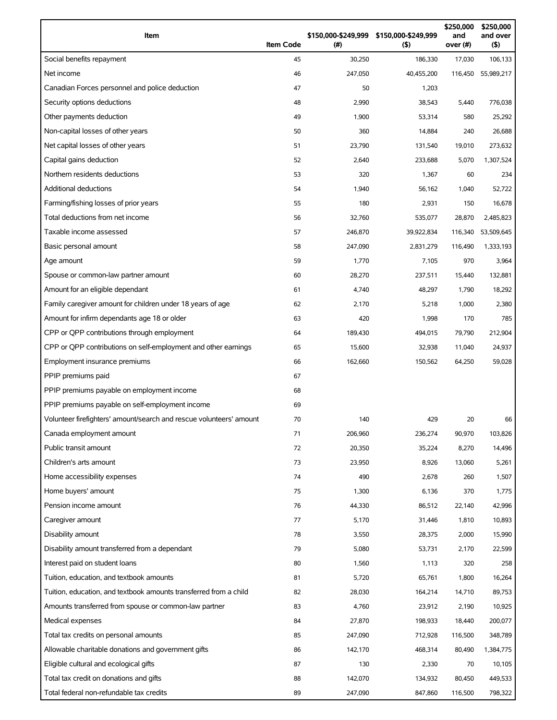| Item                                                                | <b>Item Code</b> | (#)     | \$150,000-\$249,999 \$150,000-\$249,999<br>$($ \$) | \$250,000<br>and<br>over (#) | \$250,000<br>and over<br>(5) |
|---------------------------------------------------------------------|------------------|---------|----------------------------------------------------|------------------------------|------------------------------|
| Social benefits repayment                                           | 45               | 30,250  | 186,330                                            | 17,030                       | 106,133                      |
| Net income                                                          | 46               | 247,050 | 40,455,200                                         | 116,450                      | 55,989,217                   |
| Canadian Forces personnel and police deduction                      | 47               | 50      | 1,203                                              |                              |                              |
| Security options deductions                                         | 48               | 2,990   | 38,543                                             | 5,440                        | 776,038                      |
| Other payments deduction                                            | 49               | 1,900   | 53,314                                             | 580                          | 25,292                       |
| Non-capital losses of other years                                   | 50               | 360     | 14,884                                             | 240                          | 26,688                       |
| Net capital losses of other years                                   | 51               | 23,790  | 131,540                                            | 19,010                       | 273,632                      |
| Capital gains deduction                                             | 52               | 2,640   | 233,688                                            | 5,070                        | 1,307,524                    |
| Northern residents deductions                                       | 53               | 320     | 1,367                                              | 60                           | 234                          |
| <b>Additional deductions</b>                                        | 54               | 1,940   | 56,162                                             | 1,040                        | 52,722                       |
| Farming/fishing losses of prior years                               | 55               | 180     | 2,931                                              | 150                          | 16,678                       |
| Total deductions from net income                                    | 56               | 32,760  | 535,077                                            | 28,870                       | 2,485,823                    |
| Taxable income assessed                                             | 57               | 246,870 | 39,922,834                                         | 116,340                      | 53,509,645                   |
| Basic personal amount                                               | 58               | 247,090 | 2,831,279                                          | 116,490                      | 1,333,193                    |
| Age amount                                                          | 59               | 1,770   | 7,105                                              | 970                          | 3,964                        |
| Spouse or common-law partner amount                                 | 60               | 28,270  | 237,511                                            | 15,440                       | 132,881                      |
| Amount for an eligible dependant                                    | 61               | 4,740   | 48,297                                             | 1,790                        | 18,292                       |
| Family caregiver amount for children under 18 years of age          | 62               | 2,170   | 5,218                                              | 1,000                        | 2,380                        |
| Amount for infirm dependants age 18 or older                        | 63               | 420     | 1,998                                              | 170                          | 785                          |
| CPP or QPP contributions through employment                         | 64               | 189,430 | 494,015                                            | 79,790                       | 212,904                      |
| CPP or QPP contributions on self-employment and other earnings      | 65               | 15,600  | 32,938                                             | 11,040                       | 24,937                       |
| Employment insurance premiums                                       | 66               | 162,660 | 150,562                                            | 64,250                       | 59,028                       |
| PPIP premiums paid                                                  | 67               |         |                                                    |                              |                              |
| PPIP premiums payable on employment income                          | 68               |         |                                                    |                              |                              |
| PPIP premiums payable on self-employment income                     | 69               |         |                                                    |                              |                              |
| Volunteer firefighters' amount/search and rescue volunteers' amount | 70               | 140     | 429                                                | 20                           | 66                           |
| Canada employment amount                                            | 71               | 206,960 | 236,274                                            | 90,970                       | 103,826                      |
| Public transit amount                                               | 72               | 20,350  | 35,224                                             | 8,270                        | 14,496                       |
| Children's arts amount                                              | 73               | 23,950  | 8,926                                              | 13,060                       | 5,261                        |
| Home accessibility expenses                                         | 74               | 490     | 2,678                                              | 260                          | 1,507                        |
| Home buyers' amount                                                 | 75               | 1,300   | 6,136                                              | 370                          | 1,775                        |
| Pension income amount                                               | 76               | 44,330  | 86,512                                             | 22,140                       | 42,996                       |
| Caregiver amount                                                    | 77               | 5,170   | 31,446                                             | 1,810                        | 10,893                       |
| Disability amount                                                   | 78               | 3,550   | 28,375                                             | 2,000                        | 15,990                       |
| Disability amount transferred from a dependant                      | 79               | 5,080   | 53,731                                             | 2,170                        | 22,599                       |
| Interest paid on student loans                                      | 80               | 1,560   | 1,113                                              | 320                          | 258                          |
| Tuition, education, and textbook amounts                            | 81               | 5,720   | 65,761                                             | 1,800                        | 16,264                       |
| Tuition, education, and textbook amounts transferred from a child   | 82               | 28,030  | 164,214                                            | 14,710                       | 89,753                       |
| Amounts transferred from spouse or common-law partner               | 83               | 4,760   | 23,912                                             | 2,190                        | 10,925                       |
| Medical expenses                                                    | 84               | 27,870  | 198,933                                            | 18,440                       | 200,077                      |
| Total tax credits on personal amounts                               | 85               | 247,090 | 712,928                                            | 116,500                      | 348,789                      |
| Allowable charitable donations and government gifts                 | 86               | 142,170 | 468,314                                            | 80,490                       | 1,384,775                    |
| Eligible cultural and ecological gifts                              | 87               | 130     | 2,330                                              | 70                           | 10,105                       |
| Total tax credit on donations and gifts                             | 88               | 142,070 | 134,932                                            | 80,450                       | 449,533                      |
| Total federal non-refundable tax credits                            | 89               | 247,090 | 847,860                                            | 116,500                      | 798,322                      |